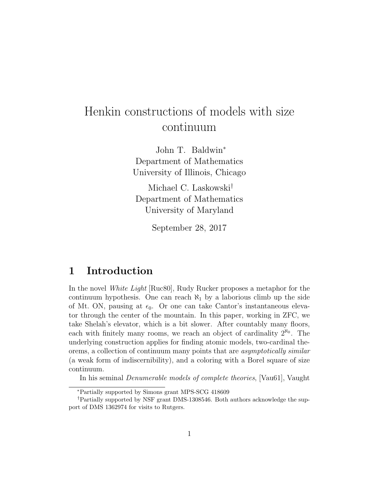# Henkin constructions of models with size continuum

John T. Baldwin<sup>∗</sup> Department of Mathematics University of Illinois, Chicago

Michael C. Laskowski† Department of Mathematics University of Maryland

September 28, 2017

### 1 Introduction

In the novel White Light [Ruc80], Rudy Rucker proposes a metaphor for the continuum hypothesis. One can reach  $\aleph_1$  by a laborious climb up the side of Mt. ON, pausing at  $\epsilon_0$ . Or one can take Cantor's instantaneous elevator through the center of the mountain. In this paper, working in ZFC, we take Shelah's elevator, which is a bit slower. After countably many floors, each with finitely many rooms, we reach an object of cardinality  $2^{\aleph_0}$ . The underlying construction applies for finding atomic models, two-cardinal theorems, a collection of continuum many points that are asymptotically similar (a weak form of indiscernibility), and a coloring with a Borel square of size continuum.

In his seminal Denumerable models of complete theories, [Vau61], Vaught

<sup>∗</sup>Partially supported by Simons grant MPS-SCG 418609

<sup>†</sup>Partially supported by NSF grant DMS-1308546. Both authors acknowledge the support of DMS 1362974 for visits to Rutgers.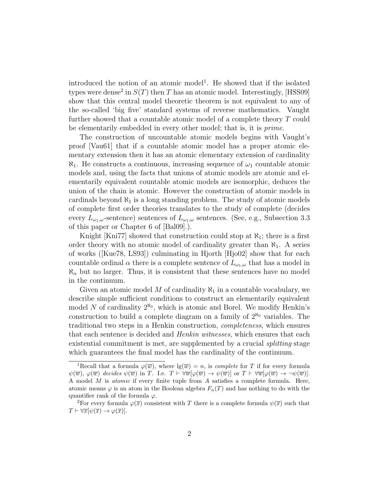introduced the notion of an atomic model<sup>1</sup>. He showed that if the isolated types were dense<sup>2</sup> in  $S(T)$  then T has an atomic model. Interestingly, [HSS09] show that this central model theoretic theorem is not equivalent to any of the so-called 'big five' standard systems of reverse mathematics. Vaught further showed that a countable atomic model of a complete theory T could be elementarily embedded in every other model; that is, it is prime.

The construction of uncountable atomic models begins with Vaught's proof [Vau61] that if a countable atomic model has a proper atomic elementary extension then it has an atomic elementary extension of cardinality  $\aleph_1$ . He constructs a continuous, increasing sequence of  $\omega_1$  countable atomic models and, using the facts that unions of atomic models are atomic and elementarily equivalent countable atomic models are isomorphic, deduces the union of the chain is atomic. However the construction of atomic models in cardinals beyond  $\aleph_1$  is a long standing problem. The study of atomic models of complete first order theories translates to the study of complete (decides every  $L_{\omega_1,\omega}$ -sentence) sentences of  $L_{\omega_1,\omega}$  sentences. (See, e.g., Subsection 3.3 of this paper or Chapter 6 of [Bal09].).

Knight [Kni77] showed that construction could stop at  $\aleph_1$ ; there is a first order theory with no atomic model of cardinality greater than  $\aleph_1$ . A series of works ([Kue78, LS93]) culminating in Hjorth [Hjo02] show that for each countable ordinal  $\alpha$  there is a complete sentence of  $L_{\omega_1,\omega}$  that has a model in  $\aleph_{\alpha}$  but no larger. Thus, it is consistent that these sentences have no model in the continuum.

Given an atomic model M of cardinality  $\aleph_1$  in a countable vocabulary, we describe simple sufficient conditions to construct an elementarily equivalent model N of cardinality  $2^{\aleph_0}$ , which is atomic and Borel. We modify Henkin's construction to build a complete diagram on a family of  $2^{\aleph_0}$  variables. The traditional two steps in a Henkin construction, completeness, which ensures that each sentence is decided and *Henkin witnesses*, which ensures that each existential commitment is met, are supplemented by a crucial *splitting* stage which guarantees the final model has the cardinality of the continuum.

<sup>&</sup>lt;sup>1</sup>Recall that a formula  $\varphi(\overline{w})$ , where  $\lg(\overline{w}) = n$ , is *complete* for T if for every formula  $\psi(\overline{w}), \varphi(\overline{w})$  decides  $\psi(\overline{w})$  in T. I.e.  $T \vdash \forall \overline{w}[\varphi(\overline{w}) \to \psi(\overline{w})]$  or  $T \vdash \forall \overline{w}[\varphi(\overline{w}) \to \neg \psi(\overline{w})]$ . A model M is atomic if every finite tuple from A satisfies a complete formula. Here, atomic means  $\varphi$  is an atom in the Boolean algebra  $F_n(T)$  and has nothing to do with the quantifier rank of the formula  $\varphi$ .

<sup>&</sup>lt;sup>2</sup>For every formula  $\varphi(\overline{x})$  consistent with T there is a complete formula  $\psi(\overline{x})$  such that  $T \vdash \forall \overline{x}[\psi(\overline{x}) \to \varphi(\overline{x})].$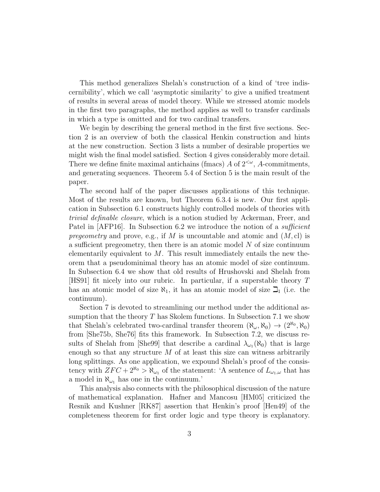This method generalizes Shelah's construction of a kind of 'tree indiscernibility', which we call 'asymptotic similarity' to give a unified treatment of results in several areas of model theory. While we stressed atomic models in the first two paragraphs, the method applies as well to transfer cardinals in which a type is omitted and for two cardinal transfers.

We begin by describing the general method in the first five sections. Section 2 is an overview of both the classical Henkin construction and hints at the new construction. Section 3 lists a number of desirable properties we might wish the final model satisfied. Section 4 gives considerably more detail. There we define finite maximal antichains (fmacs)  $A$  of  $2<sup>{\omega}</sup>$ ,  $A$ -commitments, and generating sequences. Theorem 5.4 of Section 5 is the main result of the paper.

The second half of the paper discusses applications of this technique. Most of the results are known, but Theorem 6.3.4 is new. Our first application in Subsection 6.1 constructs highly controlled models of theories with trivial definable closure, which is a notion studied by Ackerman, Freer, and Patel in [AFP16]. In Subsection 6.2 we introduce the notion of a *sufficient* pregeometry and prove, e.g., if M is uncountable and atomic and  $(M, cl)$  is a sufficient pregeometry, then there is an atomic model  $N$  of size continuum elementarily equivalent to  $M$ . This result immediately entails the new theorem that a pseudominimal theory has an atomic model of size continuum. In Subsection 6.4 we show that old results of Hrushovski and Shelah from [HS91] fit nicely into our rubric. In particular, if a superstable theory T has an atomic model of size  $\aleph_1$ , it has an atomic model of size  $\beth_1$  (i.e. the continuum).

Section 7 is devoted to streamlining our method under the additional assumption that the theory  $T$  has Skolem functions. In Subsection 7.1 we show that Shelah's celebrated two-cardinal transfer theorem  $(\aleph_{\omega}, \aleph_0) \rightarrow (2^{\aleph_0}, \aleph_0)$ from [She75b, She76] fits this framework. In Subsection 7.2, we discuss results of Shelah from [She99] that describe a cardinal  $\lambda_{\omega_1}(\aleph_0)$  that is large enough so that any structure  $M$  of at least this size can witness arbitrarily long splittings. As one application, we expound Shelah's proof of the consistency with  $ZFC + 2^{\aleph_0} > \aleph_{\omega_1}$  of the statement: 'A sentence of  $L_{\omega_1,\omega}$  that has a model in  $\aleph_{\omega_1}$  has one in the continuum.'

This analysis also connects with the philosophical discussion of the nature of mathematical explanation. Hafner and Mancosu [HM05] criticized the Resnik and Kushner [RK87] assertion that Henkin's proof [Hen49] of the completeness theorem for first order logic and type theory is explanatory.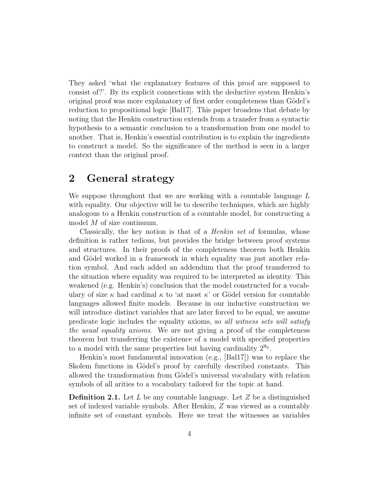They asked 'what the explanatory features of this proof are supposed to consist of?'. By its explicit connections with the deductive system Henkin's original proof was more explanatory of first order completeness than Gödel's reduction to propositional logic [Bal17]. This paper broadens that debate by noting that the Henkin construction extends from a transfer from a syntactic hypothesis to a semantic conclusion to a transformation from one model to another. That is, Henkin's essential contribution is to explain the ingredients to construct a model. So the significance of the method is seen in a larger context than the original proof.

### 2 General strategy

We suppose throughout that we are working with a countable language  $L$ with equality. Our objective will be to describe techniques, which are highly analogous to a Henkin construction of a countable model, for constructing a model M of size continuum.

Classically, the key notion is that of a Henkin set of formulas, whose definition is rather tedious, but provides the bridge between proof systems and structures. In their proofs of the completeness theorem both Henkin and Gödel worked in a framework in which equality was just another relation symbol. And each added an addendum that the proof transferred to the situation where equality was required to be interpreted as identity. This weakened (e.g. Henkin's) conclusion that the model constructed for a vocabulary of size  $\kappa$  had cardinal  $\kappa$  to 'at most  $\kappa$ ' or Gödel version for countable languages allowed finite models. Because in our inductive construction we will introduce distinct variables that are later forced to be equal, we assume predicate logic includes the equality axioms, so all witness sets will satisfy the usual equality axioms. We are not giving a proof of the completeness theorem but transferring the existence of a model with specified properties to a model with the same properties but having cardinality  $2^{\aleph_0}$ .

Henkin's most fundamental innovation (e.g., [Bal17]) was to replace the Skolem functions in Gödel's proof by carefully described constants. This allowed the transformation from Gödel's universal vocabulary with relation symbols of all arities to a vocabulary tailored for the topic at hand.

**Definition 2.1.** Let L be any countable language. Let Z be a distinguished set of indexed variable symbols. After Henkin, Z was viewed as a countably infinite set of constant symbols. Here we treat the witnesses as variables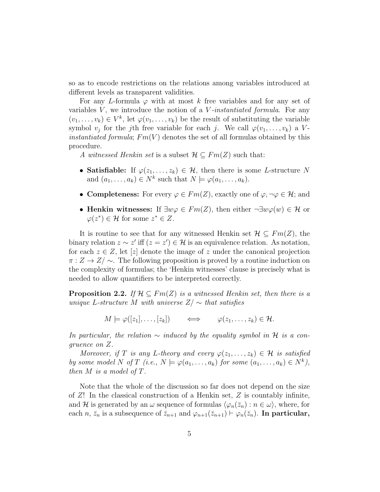so as to encode restrictions on the relations among variables introduced at different levels as transparent validities.

For any L-formula  $\varphi$  with at most k free variables and for any set of variables  $V$ , we introduce the notion of a  $V$ -instantiated formula. For any  $(v_1, \ldots, v_k) \in V^k$ , let  $\varphi(v_1, \ldots, v_k)$  be the result of substituting the variable symbol  $v_j$  for the j<sup>th</sup> free variable for each j. We call  $\varphi(v_1, \ldots, v_k)$  a V*instantiated formula*;  $Fm(V)$  denotes the set of all formulas obtained by this procedure.

A witnessed Henkin set is a subset  $\mathcal{H} \subseteq Fm(Z)$  such that:

- Satisfiable: If  $\varphi(z_1,\ldots,z_k) \in \mathcal{H}$ , then there is some *L*-structure N and  $(a_1, \ldots, a_k) \in N^k$  such that  $N \models \varphi(a_1, \ldots, a_k)$ .
- Completeness: For every  $\varphi \in Fm(Z)$ , exactly one of  $\varphi, \neg \varphi \in \mathcal{H}$ ; and
- Henkin witnesses: If  $\exists w \varphi \in Fm(Z)$ , then either  $\neg \exists w \varphi(w) \in \mathcal{H}$  or  $\varphi(z^*) \in \mathcal{H}$  for some  $z^* \in Z$ .

It is routine to see that for any witnessed Henkin set  $\mathcal{H} \subseteq Fm(Z)$ , the binary relation  $z \sim z'$  iff  $(z = z') \in \mathcal{H}$  is an equivalence relation. As notation, for each  $z \in Z$ , let  $[z]$  denote the image of z under the canonical projection  $\pi: Z \to Z/\sim$ . The following proposition is proved by a routine induction on the complexity of formulas; the 'Henkin witnesses' clause is precisely what is needed to allow quantifiers to be interpreted correctly.

**Proposition 2.2.** If  $\mathcal{H} \subseteq Fm(Z)$  is a witnessed Henkin set, then there is a unique L-structure M with universe  $Z/\sim$  that satisfies

$$
M\models\varphi([z_1],\ldots,[z_k])\qquad\iff\qquad \varphi(z_1,\ldots,z_k)\in\mathcal{H}.
$$

In particular, the relation  $\sim$  induced by the equality symbol in H is a congruence on Z.

Moreover, if T is any L-theory and every  $\varphi(z_1,\ldots,z_k) \in \mathcal{H}$  is satisfied by some model N of T (i.e.,  $N \models \varphi(a_1, \ldots, a_k)$  for some  $(a_1, \ldots, a_k) \in N^k$ ), then  $M$  is a model of  $T$ .

Note that the whole of the discussion so far does not depend on the size of  $Z!$  In the classical construction of a Henkin set,  $Z$  is countably infinite, and H is generated by an  $\omega$  sequence of formulas  $\langle \varphi_n(\bar{z}_n) : n \in \omega \rangle$ , where, for each n,  $\bar{z}_n$  is a subsequence of  $\bar{z}_{n+1}$  and  $\varphi_{n+1}(\bar{z}_{n+1}) \vdash \varphi_n(\bar{z}_n)$ . In particular,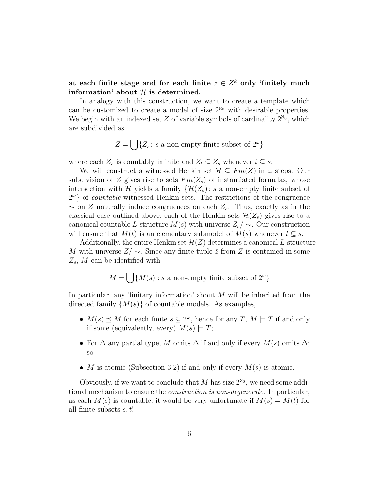at each finite stage and for each finite  $\bar{z} \in Z^k$  only 'finitely much information' about  $H$  is determined.

In analogy with this construction, we want to create a template which can be customized to create a model of size  $2^{\aleph_0}$  with desirable properties. We begin with an indexed set  $Z$  of variable symbols of cardinality  $2^{\aleph_0}$ , which are subdivided as

$$
Z = \bigcup \{Z_s : s \text{ a non-empty finite subset of } 2^{\omega}\}\
$$

where each  $Z_s$  is countably infinite and  $Z_t \subseteq Z_s$  whenever  $t \subseteq s$ .

We will construct a witnessed Henkin set  $\mathcal{H} \subseteq Fm(Z)$  in  $\omega$  steps. Our subdivision of Z gives rise to sets  $Fm(Z_s)$  of instantiated formulas, whose intersection with H yields a family  $\{\mathcal{H}(Z_s): s \text{ a non-empty finite subset of }\}$  $2^{\omega}$  of *countable* witnessed Henkin sets. The restrictions of the congruence  $\sim$  on Z naturally induce congruences on each  $Z_s$ . Thus, exactly as in the classical case outlined above, each of the Henkin sets  $\mathcal{H}(Z_s)$  gives rise to a canonical countable L-structure  $M(s)$  with universe  $Z_s/\sim$ . Our construction will ensure that  $M(t)$  is an elementary submodel of  $M(s)$  whenever  $t \subseteq s$ .

Additionally, the entire Henkin set  $\mathcal{H}(Z)$  determines a canonical L-structure M with universe  $Z/\sim$ . Since any finite tuple  $\bar{z}$  from Z is contained in some  $Z_s$ , M can be identified with

$$
M = \bigcup \{ M(s) : s \text{ a non-empty finite subset of } 2^{\omega} \}
$$

In particular, any 'finitary information' about  $M$  will be inherited from the directed family  $\{M(s)\}\$  of countable models. As examples,

- $M(s) \preceq M$  for each finite  $s \subseteq 2^\omega$ , hence for any  $T, M \models T$  if and only if some (equivalently, every)  $M(s) \models T;$
- For  $\Delta$  any partial type, M omits  $\Delta$  if and only if every  $M(s)$  omits  $\Delta$ ; so
- M is atomic (Subsection 3.2) if and only if every  $M(s)$  is atomic.

Obviously, if we want to conclude that M has size  $2^{\aleph_0}$ , we need some additional mechanism to ensure the construction is non-degenerate. In particular, as each  $M(s)$  is countable, it would be very unfortunate if  $M(s) = M(t)$  for all finite subsets  $s, t!$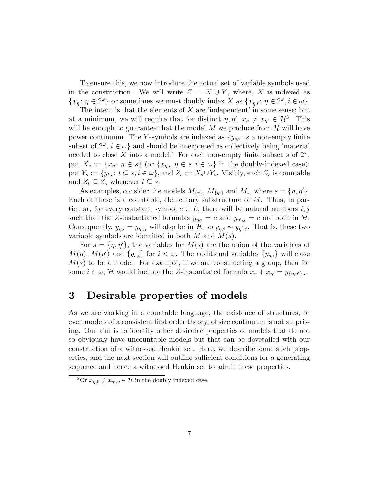To ensure this, we now introduce the actual set of variable symbols used in the construction. We will write  $Z = X \cup Y$ , where, X is indexed as  $\{x_{\eta} : \eta \in 2^{\omega}\}\)$  or sometimes we must doubly index X as  $\{x_{\eta,i} : \eta \in 2^{\omega}, i \in \omega\}.$ 

The intent is that the elements of  $X$  are 'independent' in some sense; but at a minimum, we will require that for distinct  $\eta, \eta', x_{\eta} \neq x_{\eta'} \in \mathcal{H}^3$ . This will be enough to guarantee that the model  $M$  we produce from  $\mathcal H$  will have power continuum. The Y-symbols are indexed as  ${y_{s,i}: s \text{ a non-empty finite}}$ subset of  $2^{\omega}$ ,  $i \in \omega$  and should be interpreted as collectively being 'material needed to close X into a model.' For each non-empty finite subset s of  $2^{\omega}$ , put  $X_s := \{x_n : \eta \in s\}$  (or  $\{x_{n,i}, \eta \in s, i \in \omega\}$ ) in the doubly-indexed case); put  $Y_s := \{y_{t,i} : t \subseteq s, i \in \omega\}$ , and  $Z_s := X_s \cup Y_s$ . Visibly, each  $Z_s$  is countable and  $Z_t \subseteq Z_s$  whenever  $t \subseteq s$ .

As examples, consider the models  $M_{\{\eta\}}$ ,  $M_{\{\eta'\}}$  and  $M_s$ , where  $s = \{\eta, \eta'\}.$ Each of these is a countable, elementary substructure of  $M$ . Thus, in particular, for every constant symbol  $c \in L$ , there will be natural numbers i, j such that the Z-instantiated formulas  $y_{\eta,i} = c$  and  $y_{\eta',j} = c$  are both in  $\mathcal{H}$ . Consequently,  $y_{\eta,i} = y_{\eta',j}$  will also be in  $\mathcal{H}$ , so  $y_{\eta,i} \sim y_{\eta',j}$ . That is, these two variable symbols are identified in both  $M$  and  $M(s)$ .

For  $s = \{\eta, \eta'\},$  the variables for  $M(s)$  are the union of the variables of  $M(\eta)$ ,  $M(\eta')$  and  $\{y_{s,i}\}\)$  for  $i < \omega$ . The additional variables  $\{y_{s,i}\}\$  will close  $M(s)$  to be a model. For example, if we are constructing a group, then for some  $i \in \omega$ , H would include the Z-instantiated formula  $x_{\eta} + x_{\eta'} = y_{\{\eta,\eta'\},i}$ .

### 3 Desirable properties of models

As we are working in a countable language, the existence of structures, or even models of a consistent first order theory, of size continuum is not surprising. Our aim is to identify other desirable properties of models that do not so obviously have uncountable models but that can be dovetailed with our construction of a witnessed Henkin set. Here, we describe some such properties, and the next section will outline sufficient conditions for a generating sequence and hence a witnessed Henkin set to admit these properties.

<sup>&</sup>lt;sup>3</sup>Or  $x_{\eta,0} \neq x_{\eta',0} \in \mathcal{H}$  in the doubly indexed case.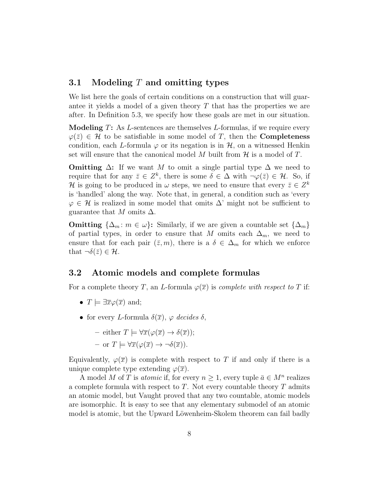### 3.1 Modeling  $T$  and omitting types

We list here the goals of certain conditions on a construction that will guarantee it yields a model of a given theory  $T$  that has the properties we are after. In Definition 5.3, we specify how these goals are met in our situation.

**Modeling**  $T$ : As  $L$ -sentences are themselves  $L$ -formulas, if we require every  $\varphi(\bar{z}) \in \mathcal{H}$  to be satisfiable in some model of T, then the **Completeness** condition, each L-formula  $\varphi$  or its negation is in  $\mathcal{H}$ , on a witnessed Henkin set will ensure that the canonical model M built from  $\mathcal H$  is a model of T.

**Omitting**  $\Delta$ : If we want M to omit a single partial type  $\Delta$  we need to require that for any  $\bar{z} \in Z^k$ , there is some  $\delta \in \Delta$  with  $\neg \varphi(\bar{z}) \in \mathcal{H}$ . So, if H is going to be produced in  $\omega$  steps, we need to ensure that every  $\bar{z} \in Z^k$ is 'handled' along the way. Note that, in general, a condition such as 'every  $\varphi \in \mathcal{H}$  is realized in some model that omits  $\Delta'$  might not be sufficient to guarantee that M omits  $\Delta$ .

**Omitting**  $\{\Delta_m : m \in \omega\}$ : Similarly, if we are given a countable set  $\{\Delta_m\}$ of partial types, in order to ensure that M omits each  $\Delta_m$ , we need to ensure that for each pair  $(\bar{z}, m)$ , there is a  $\delta \in \Delta_m$  for which we enforce that  $\neg \delta(\bar{z}) \in \mathcal{H}$ .

### 3.2 Atomic models and complete formulas

For a complete theory T, an L-formula  $\varphi(\overline{x})$  is *complete with respect to* T if:

- $T \models \exists \overline{x} \varphi(\overline{x})$  and;
- for every L-formula  $\delta(\overline{x})$ ,  $\varphi$  decides  $\delta$ ,

- either 
$$
T \models \forall \overline{x}(\varphi(\overline{x}) \to \delta(\overline{x}));
$$

– or  $T \models \forall \overline{x}(\varphi(\overline{x}) \to \neg \delta(\overline{x})).$ 

Equivalently,  $\varphi(\overline{x})$  is complete with respect to T if and only if there is a unique complete type extending  $\varphi(\overline{x})$ .

A model M of T is *atomic* if, for every  $n \geq 1$ , every tuple  $\bar{a} \in M^n$  realizes a complete formula with respect to  $T$ . Not every countable theory  $T$  admits an atomic model, but Vaught proved that any two countable, atomic models are isomorphic. It is easy to see that any elementary submodel of an atomic model is atomic, but the Upward Löwenheim-Skolem theorem can fail badly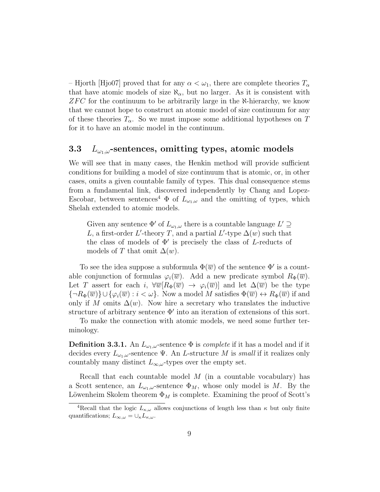– Hjorth [Hjo07] proved that for any  $\alpha < \omega_1$ , there are complete theories  $T_{\alpha}$ that have atomic models of size  $\aleph_{\alpha}$ , but no larger. As it is consistent with  $ZFC$  for the continuum to be arbitrarily large in the N-hierarchy, we know that we cannot hope to construct an atomic model of size continuum for any of these theories  $T_{\alpha}$ . So we must impose some additional hypotheses on T for it to have an atomic model in the continuum.

### 3.3  $L_{\omega_1,\omega}$ -sentences, omitting types, atomic models

We will see that in many cases, the Henkin method will provide sufficient conditions for building a model of size continuum that is atomic, or, in other cases, omits a given countable family of types. This dual consequence stems from a fundamental link, discovered independently by Chang and Lopez-Escobar, between sentences<sup>4</sup>  $\Phi$  of  $L_{\omega_1,\omega}$  and the omitting of types, which Shelah extended to atomic models.

Given any sentence  $\Phi'$  of  $L_{\omega_1,\omega}$  there is a countable language  $L' \supseteq$ L, a first-order L'-theory T, and a partial L'-type  $\Delta(w)$  such that the class of models of  $\Phi'$  is precisely the class of L-reducts of models of T that omit  $\Delta(w)$ .

To see the idea suppose a subformula  $\Phi(\overline{w})$  of the sentence  $\Phi'$  is a countable conjunction of formulas  $\varphi_i(\overline{w})$ . Add a new predicate symbol  $R_{\Phi}(\overline{w})$ . Let T assert for each i,  $\forall \overline{w}[R_{\Phi}(\overline{w}) \rightarrow \varphi_i(\overline{w})]$  and let  $\Delta(\overline{w})$  be the type  ${\lbrace \neg R_{\Phi}(\overline{w}) \rbrace \cup \lbrace \varphi_i(\overline{w}) : i < \omega \rbrace}$ . Now a model M satisfies  $\Phi(\overline{w}) \leftrightarrow R_{\Phi}(\overline{w})$  if and only if M omits  $\Delta(w)$ . Now hire a secretary who translates the inductive structure of arbitrary sentence  $\Phi'$  into an iteration of extensions of this sort.

To make the connection with atomic models, we need some further terminology.

**Definition 3.3.1.** An  $L_{\omega_1,\omega}$ -sentence  $\Phi$  is *complete* if it has a model and if it decides every  $L_{\omega_1,\omega}$ -sentence Ψ. An L-structure M is small if it realizes only countably many distinct  $L_{\infty,\omega}$ -types over the empty set.

Recall that each countable model  $M$  (in a countable vocabulary) has a Scott sentence, an  $L_{\omega_1,\omega}$ -sentence  $\Phi_M$ , whose only model is M. By the Löwenheim Skolem theorem  $\Phi_M$  is complete. Examining the proof of Scott's

<sup>&</sup>lt;sup>4</sup>Recall that the logic  $L_{\kappa,\omega}$  allows conjunctions of length less than  $\kappa$  but only finite quantifications;  $L_{\infty,\omega} = \cup_{\kappa} L_{\kappa,\omega}$ .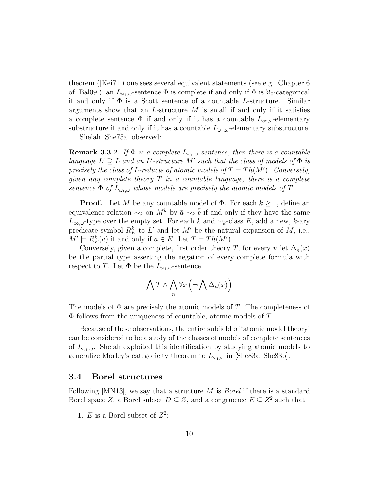theorem ([Kei71]) one sees several equivalent statements (see e.g., Chapter 6 of [Bal09]): an  $L_{\omega_1,\omega}$ -sentence  $\Phi$  is complete if and only if  $\Phi$  is  $\aleph_0$ -categorical if and only if  $\Phi$  is a Scott sentence of a countable L-structure. Similar arguments show that an L-structure  $M$  is small if and only if it satisfies a complete sentence  $\Phi$  if and only if it has a countable  $L_{\infty,\omega}$ -elementary substructure if and only if it has a countable  $L_{\omega_1,\omega}$ -elementary substructure.

Shelah [She75a] observed:

**Remark 3.3.2.** If  $\Phi$  is a complete  $L_{\omega_1,\omega}$ -sentence, then there is a countable language  $L' \supseteq L$  and an L'-structure M' such that the class of models of  $\Phi$  is precisely the class of L-reducts of atomic models of  $T = Th(M')$ . Conversely, given any complete theory  $T$  in a countable language, there is a complete sentence  $\Phi$  of  $L_{\omega_1,\omega}$  whose models are precisely the atomic models of T.

**Proof.** Let M be any countable model of  $\Phi$ . For each  $k \geq 1$ , define an equivalence relation  $\sim_k$  on  $M^k$  by  $\bar{a} \sim_k \bar{b}$  if and only if they have the same  $L_{\infty,\omega}$ -type over the empty set. For each k and  $\sim_k$ -class E, add a new, k-ary predicate symbol  $R_E^k$  to  $L'$  and let  $M'$  be the natural expansion of  $M$ , i.e.,  $M' \models R_E^k(\bar{a})$  if and only if  $\bar{a} \in E$ . Let  $T = Th(M')$ .

Conversely, given a complete, first order theory T, for every n let  $\Delta_n(\overline{x})$ be the partial type asserting the negation of every complete formula with respect to T. Let  $\Phi$  be the  $L_{\omega_1,\omega}$ -sentence

$$
\bigwedge T \wedge \bigwedge_n \forall \overline{x} \left( \neg \bigwedge \Delta_n(\overline{x}) \right)
$$

The models of  $\Phi$  are precisely the atomic models of T. The completeness of  $\Phi$  follows from the uniqueness of countable, atomic models of T.

Because of these observations, the entire subfield of 'atomic model theory' can be considered to be a study of the classes of models of complete sentences of  $L_{\omega_1,\omega}$ . Shelah exploited this identification by studying atomic models to generalize Morley's categoricity theorem to  $L_{\omega_1,\omega}$  in [She83a, She83b].

#### 3.4 Borel structures

Following [MN13], we say that a structure M is Borel if there is a standard Borel space Z, a Borel subset  $D \subseteq Z$ , and a congruence  $E \subseteq Z^2$  such that

1. E is a Borel subset of  $Z^2$ ;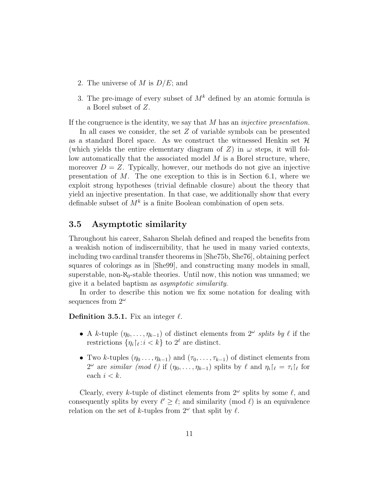- 2. The universe of M is  $D/E$ ; and
- 3. The pre-image of every subset of  $M^k$  defined by an atomic formula is a Borel subset of Z.

If the congruence is the identity, we say that  $M$  has an *injective presentation*.

In all cases we consider, the set Z of variable symbols can be presented as a standard Borel space. As we construct the witnessed Henkin set  $\mathcal H$ (which yields the entire elementary diagram of  $Z$ ) in  $\omega$  steps, it will follow automatically that the associated model  $M$  is a Borel structure, where, moreover  $D = Z$ . Typically, however, our methods do not give an injective presentation of  $M$ . The one exception to this is in Section 6.1, where we exploit strong hypotheses (trivial definable closure) about the theory that yield an injective presentation. In that case, we additionally show that every definable subset of  $M^k$  is a finite Boolean combination of open sets.

### 3.5 Asymptotic similarity

Throughout his career, Saharon Shelah defined and reaped the benefits from a weakish notion of indiscernibility, that he used in many varied contexts, including two cardinal transfer theorems in [She75b, She76], obtaining perfect squares of colorings as in [She99], and constructing many models in small, superstable, non- $\aleph_0$ -stable theories. Until now, this notion was unnamed; we give it a belated baptism as asymptotic similarity.

In order to describe this notion we fix some notation for dealing with sequences from  $2^{\omega}$ 

#### **Definition 3.5.1.** Fix an integer  $\ell$ .

- A k-tuple  $(\eta_0, \ldots, \eta_{k-1})$  of distinct elements from  $2^{\omega}$  splits by  $\ell$  if the restrictions  $\{\eta_i\}_{\ell}:i\lt k\}$  to  $2^{\ell}$  are distinct.
- Two k-tuples  $(\eta_0 \ldots, \eta_{k-1})$  and  $(\tau_0, \ldots, \tau_{k-1})$  of distinct elements from  $2^{\omega}$  are similar (mod  $\ell$ ) if  $(\eta_0, \ldots, \eta_{k-1})$  splits by  $\ell$  and  $\eta_i|_{\ell} = \tau_i|_{\ell}$  for each  $i < k$ .

Clearly, every k-tuple of distinct elements from  $2^{\omega}$  splits by some  $\ell$ , and consequently splits by every  $\ell' \geq \ell$ ; and similarity (mod  $\ell$ ) is an equivalence relation on the set of k-tuples from  $2^{\omega}$  that split by  $\ell$ .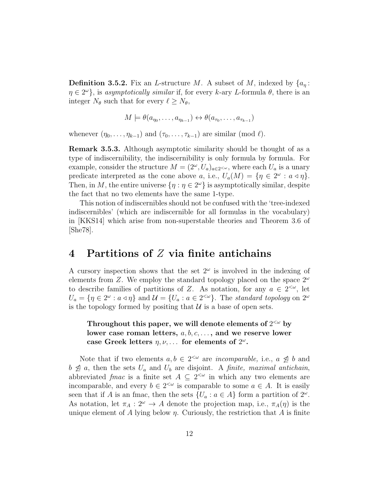**Definition 3.5.2.** Fix an *L*-structure M. A subset of M, indexed by  $\{a_n:$  $\eta \in 2^{\omega}$ , is asymptotically similar if, for every k-ary L-formula  $\theta$ , there is an integer  $N_{\theta}$  such that for every  $\ell \geq N_{\theta}$ ,

$$
M \models \theta(a_{\eta_0}, \dots, a_{\eta_{k-1}}) \leftrightarrow \theta(a_{\tau_0}, \dots, a_{\tau_{k-1}})
$$

whenever  $(\eta_0, \ldots, \eta_{k-1})$  and  $(\tau_0, \ldots, \tau_{k-1})$  are similar (mod  $\ell$ ).

Remark 3.5.3. Although asymptotic similarity should be thought of as a type of indiscernibility, the indiscernibility is only formula by formula. For example, consider the structure  $M = (2^{\omega}, U_a)_{a \in 2^{<\omega}}$ , where each  $U_a$  is a unary predicate interpreted as the cone above a, i.e.,  $U_a(M) = \{ \eta \in 2^{\omega} : a \triangleleft \eta \}.$ Then, in M, the entire universe  $\{\eta : \eta \in 2^{\omega}\}\$ is asymptotically similar, despite the fact that no two elements have the same 1-type.

This notion of indiscernibles should not be confused with the 'tree-indexed indiscernibles' (which are indiscernible for all formulas in the vocabulary) in [KKS14] which arise from non-superstable theories and Theorem 3.6 of [She78].

### 4 Partitions of  $Z$  via finite antichains

A cursory inspection shows that the set  $2^{\omega}$  is involved in the indexing of elements from Z. We employ the standard topology placed on the space  $2^{\omega}$ to describe families of partitions of Z. As notation, for any  $a \in 2^{<\omega}$ , let  $U_a = \{ \eta \in 2^\omega : a \triangleleft \eta \}$  and  $\mathcal{U} = \{ U_a : a \in 2^{< \omega} \}$ . The standard topology on  $2^\omega$ is the topology formed by positing that  $\mathcal U$  is a base of open sets.

### Throughout this paper, we will denote elements of  $2^{<\omega}$  by lower case roman letters,  $a, b, c, \ldots$ , and we reserve lower case Greek letters  $\eta, \nu, \ldots$  for elements of  $2^{\omega}$ .

Note that if two elements  $a, b \in 2^{\lt \omega}$  are *incomparable*, i.e.,  $a \not\leq b$  and  $b \not\supseteq a$ , then the sets  $U_a$  and  $U_b$  are disjoint. A *finite*, *maximal antichain*, abbreviated fmac is a finite set  $A \subseteq 2^{< \omega}$  in which any two elements are incomparable, and every  $b \in 2^{\lt \omega}$  is comparable to some  $a \in A$ . It is easily seen that if A is an fmac, then the sets  $\{U_a : a \in A\}$  form a partition of  $2^{\omega}$ . As notation, let  $\pi_A : 2^{\omega} \to A$  denote the projection map, i.e.,  $\pi_A(\eta)$  is the unique element of A lying below  $\eta$ . Curiously, the restriction that A is finite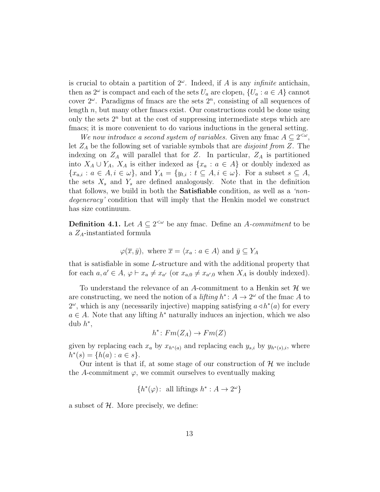is crucial to obtain a partition of  $2^{\omega}$ . Indeed, if A is any *infinite* antichain, then as  $2^{\omega}$  is compact and each of the sets  $U_a$  are clopen,  $\{U_a : a \in A\}$  cannot cover  $2^{\omega}$ . Paradigms of fmacs are the sets  $2^{n}$ , consisting of all sequences of length  $n$ , but many other fmacs exist. Our constructions could be done using only the sets  $2^n$  but at the cost of suppressing intermediate steps which are fmacs; it is more convenient to do various inductions in the general setting.

We now introduce a second system of variables. Given any fmac  $A \subseteq 2^{<\omega}$ , let  $Z_A$  be the following set of variable symbols that are *disjoint from* Z. The indexing on  $Z_A$  will parallel that for Z. In particular,  $Z_A$  is partitioned into  $X_A \cup Y_A$ ,  $X_A$  is either indexed as  $\{x_a : a \in A\}$  or doubly indexed as  ${x_{a,i}: a \in A, i \in \omega}$ , and  $Y_A = {y_{t,i}: t \subseteq A, i \in \omega}$ . For a subset  $s \subseteq A$ , the sets  $X_s$  and  $Y_s$  are defined analogously. Note that in the definition that follows, we build in both the Satisfiable condition, as well as a 'nondegeneracy' condition that will imply that the Henkin model we construct has size continuum.

**Definition 4.1.** Let  $A \subseteq 2^{\lt \omega}$  be any fmac. Define an A-commitment to be a  $Z_A$ -instantiated formula

$$
\varphi(\overline{x}, \overline{y})
$$
, where  $\overline{x} = \langle x_a : a \in A \rangle$  and  $\overline{y} \subseteq Y_A$ 

that is satisfiable in some L-structure and with the additional property that for each  $a, a' \in A$ ,  $\varphi \vdash x_a \neq x_{a'}$  (or  $x_{a,0} \neq x_{a',0}$  when  $X_A$  is doubly indexed).

To understand the relevance of an A-commitment to a Henkin set  $\mathcal H$  we are constructing, we need the notion of a *lifting*  $h^*$ :  $A \to 2^{\omega}$  of the fmac A to  $2^{\omega}$ , which is any (necessarily injective) mapping satisfying  $a \triangleleft h^*(a)$  for every  $a \in A$ . Note that any lifting  $h^*$  naturally induces an injection, which we also dub  $h^*$ ,

$$
h^*: Fm(Z_A) \to Fm(Z)
$$

given by replacing each  $x_a$  by  $x_{h^*(a)}$  and replacing each  $y_{s,i}$  by  $y_{h^*(s),i}$ , where  $h^*(s) = \{h(a) : a \in s\}.$ 

Our intent is that if, at some stage of our construction of  $\mathcal H$  we include the A-commitment  $\varphi$ , we commit ourselves to eventually making

$$
{h^*(\varphi)}
$$
: all liftings  $h^*: A \to 2^{\omega}$ 

a subset of  $H$ . More precisely, we define: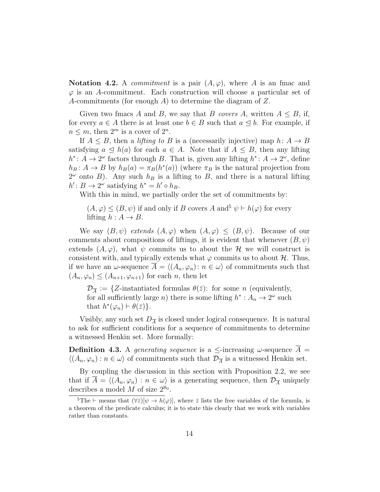**Notation 4.2.** A *commitment* is a pair  $(A, \varphi)$ , where A is an fmac and  $\varphi$  is an A-commitment. Each construction will choose a particular set of A-commitments (for enough A) to determine the diagram of Z.

Given two fmacs A and B, we say that B covers A, written  $A \leq B$ , if, for every  $a \in A$  there is at least one  $b \in B$  such that  $a \leq b$ . For example, if  $n \leq m$ , then  $2^m$  is a cover of  $2^n$ .

If  $A \leq B$ , then a *lifting to B* is a (necessarily injective) map  $h: A \rightarrow B$ satisfying  $a \leq h(a)$  for each  $a \in A$ . Note that if  $A \leq B$ , then any lifting  $h^*$ : A → 2<sup>ω</sup> factors through B. That is, given any lifting  $h^*$ : A → 2<sup>ω</sup>, define  $h_B: A \to B$  by  $h_B(a) = \pi_B(h^*(a))$  (where  $\pi_B$  is the natural projection from  $2^{\omega}$  onto B). Any such  $h_B$  is a lifting to B, and there is a natural lifting  $h' : B \to 2^{\omega}$  satisfying  $h^* = h' \circ h_B$ .

With this in mind, we partially order the set of commitments by:

 $(A, \varphi) \leq (B, \psi)$  if and only if B covers A and<sup>5</sup>  $\psi \vdash h(\varphi)$  for every lifting  $h : A \rightarrow B$ .

We say  $(B, \psi)$  extends  $(A, \varphi)$  when  $(A, \varphi) \le (B, \psi)$ . Because of our comments about compositions of liftings, it is evident that whenever  $(B, \psi)$ extends  $(A, \varphi)$ , what  $\psi$  commits us to about the H we will construct is consistent with, and typically extends what  $\varphi$  commits us to about  $\mathcal{H}$ . Thus, if we have an  $\omega$ -sequence  $A = \langle (A_n, \varphi_n): n \in \omega \rangle$  of commitments such that  $(A_n, \varphi_n) \leq (A_{n+1}, \varphi_{n+1})$  for each n, then let

 $\mathcal{D}_{\overline{A}} := \{Z\text{-instantiated formulas } \theta(\overline{z})\colon \text{ for some } n \text{ (equivalently, } \overline{z}\})$ for all sufficiently large *n*) there is some lifting  $h^* : A_n \to 2^{\omega}$  such that  $h^*(\varphi_n) \vdash \theta(\bar{z})$ .

Visibly, any such set  $D_{\overline{A}}$  is closed under logical consequence. It is natural to ask for sufficient conditions for a sequence of commitments to determine a witnessed Henkin set. More formally:

**Definition 4.3.** A generating sequence is a  $\leq$ -increasing  $\omega$ -sequence  $A =$  $\langle (A_n, \varphi_n) : n \in \omega \rangle$  of commitments such that  $\mathcal{D}_{\overline{A}}$  is a witnessed Henkin set.

By coupling the discussion in this section with Proposition 2.2, we see that if  $\overline{A} = \langle (A_n, \varphi_n) : n \in \omega \rangle$  is a generating sequence, then  $\mathcal{D}_{\overline{A}}$  uniquely describes a model M of size  $2^{\aleph_0}$ .

<sup>&</sup>lt;sup>5</sup>The  $\vdash$  means that  $(\forall \bar{z})[\psi \rightarrow h(\varphi)]$ , where  $\bar{z}$  lists the free variables of the formula, is a theorem of the predicate calculus; it is to state this clearly that we work with variables rather than constants.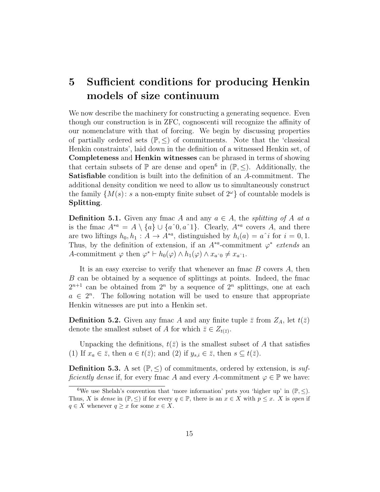## 5 Sufficient conditions for producing Henkin models of size continuum

We now describe the machinery for constructing a generating sequence. Even though our construction is in ZFC, cognoscenti will recognize the affinity of our nomenclature with that of forcing. We begin by discussing properties of partially ordered sets  $(\mathbb{P}, \leq)$  of commitments. Note that the 'classical Henkin constraints', laid down in the definition of a witnessed Henkin set, of Completeness and Henkin witnesses can be phrased in terms of showing that certain subsets of  $\mathbb P$  are dense and open<sup>6</sup> in  $(\mathbb P, \le)$ . Additionally, the Satisfiable condition is built into the definition of an A-commitment. The additional density condition we need to allow us to simultaneously construct the family  $\{M(s): s \text{ a non-empty finite subset of } 2^{\omega}\}\$  of countable models is Splitting.

**Definition 5.1.** Given any fmac A and any  $a \in A$ , the *splitting of A at a* is the fmac  $A^{*a} = A \setminus \{a\} \cup \{a^0, a^1\}$ . Clearly,  $A^{*a}$  covers A, and there are two liftings  $h_0, h_1 : A \to A^{*a}$ , distinguished by  $h_i(a) = a^i i$  for  $i = 0, 1$ . Thus, by the definition of extension, if an  $A^{*a}$ -commitment  $\varphi^*$  extends an A-commitment  $\varphi$  then  $\varphi^* \vdash h_0(\varphi) \land h_1(\varphi) \land x_{a^0} \neq x_{a^0}$ .

It is an easy exercise to verify that whenever an fmac  $B$  covers  $A$ , then B can be obtained by a sequence of splittings at points. Indeed, the fmac  $2^{n+1}$  can be obtained from  $2^n$  by a sequence of  $2^n$  splittings, one at each  $a \in 2^n$ . The following notation will be used to ensure that appropriate Henkin witnesses are put into a Henkin set.

**Definition 5.2.** Given any fmac A and any finite tuple  $\bar{z}$  from  $Z_A$ , let  $t(\bar{z})$ denote the smallest subset of A for which  $\bar{z} \in Z_{t(\bar{z})}$ .

Unpacking the definitions,  $t(\bar{z})$  is the smallest subset of A that satisfies (1) If  $x_a \in \overline{z}$ , then  $a \in t(\overline{z})$ ; and (2) if  $y_{s,i} \in \overline{z}$ , then  $s \subseteq t(\overline{z})$ .

**Definition 5.3.** A set  $(\mathbb{P}, \leq)$  of commitments, ordered by extension, is sufficiently dense if, for every fmac A and every A-commitment  $\varphi \in \mathbb{P}$  we have:

<sup>&</sup>lt;sup>6</sup>We use Shelah's convention that 'more information' puts you 'higher up' in  $(\mathbb{P}, \leq)$ . Thus, X is dense in  $(\mathbb{P}, \leq)$  if for every  $q \in \mathbb{P}$ , there is an  $x \in X$  with  $p \leq x$ . X is open if  $q \in X$  whenever  $q \geq x$  for some  $x \in X$ .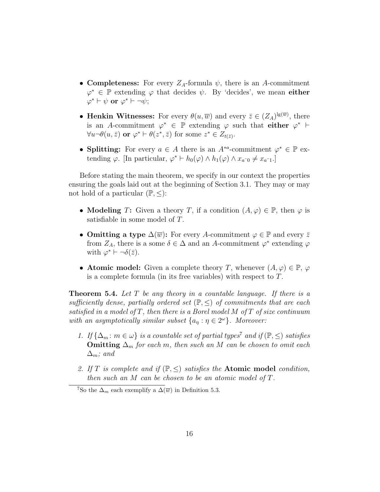- Completeness: For every  $Z_A$ -formula  $\psi$ , there is an A-commitment  $\varphi^* \in \mathbb{P}$  extending  $\varphi$  that decides  $\psi$ . By 'decides', we mean **either**  $\varphi^* \vdash \psi \text{ or } \varphi^* \vdash \neg \psi;$
- Henkin Witnesses: For every  $\theta(u,\overline{w})$  and every  $\overline{z} \in (Z_A)^{\lg(\overline{w})}$ , there is an A-commitment  $\varphi^* \in \mathbb{P}$  extending  $\varphi$  such that either  $\varphi^* \vdash$  $\forall u \neg \theta(u, \bar{z}) \text{ or } \varphi^* \vdash \theta(z^*, \bar{z}) \text{ for some } z^* \in Z_{t(\bar{z})}.$
- Splitting: For every  $a \in A$  there is an  $A^{*a}$ -commitment  $\varphi^* \in \mathbb{P}$  extending  $\varphi$ . [In particular,  $\varphi^* \vdash h_0(\varphi) \wedge h_1(\varphi) \wedge x_{a^0} \neq x_{a^0}$ .]

Before stating the main theorem, we specify in our context the properties ensuring the goals laid out at the beginning of Section 3.1. They may or may not hold of a particular  $(\mathbb{P}, \leq)$ :

- Modeling T: Given a theory T, if a condition  $(A, \varphi) \in \mathbb{P}$ , then  $\varphi$  is satisfiable in some model of T.
- Omitting a type  $\Delta(\overline{w})$ : For every A-commitment  $\varphi \in \mathbb{P}$  and every  $\overline{z}$ from  $Z_A$ , there is a some  $\delta \in \Delta$  and an A-commitment  $\varphi^*$  extending  $\varphi$ with  $\varphi^* \vdash \neg \delta(\bar{z})$ .
- Atomic model: Given a complete theory T, whenever  $(A, \varphi) \in \mathbb{P}$ ,  $\varphi$ is a complete formula (in its free variables) with respect to T.

**Theorem 5.4.** Let  $T$  be any theory in a countable language. If there is a sufficiently dense, partially ordered set  $(\mathbb{P}, \leq)$  of commitments that are each satisfied in a model of  $T$ , then there is a Borel model M of  $T$  of size continuum with an asymptotically similar subset  $\{a_{\eta} : \eta \in 2^{\omega}\}\$ . Moreover:

- 1. If  $\{\Delta_m : m \in \omega\}$  is a countable set of partial types<sup>7</sup> and if  $(\mathbb{P}, \leq)$  satisfies **Omitting**  $\Delta_m$  for each m, then such an M can be chosen to omit each  $\Delta_m$ ; and
- 2. If T is complete and if  $(\mathbb{P}, \leq)$  satisfies the **Atomic model** condition, then such an M can be chosen to be an atomic model of T.

<sup>&</sup>lt;sup>7</sup>So the  $\Delta_m$  each exemplify a  $\Delta(\overline{w})$  in Definition 5.3.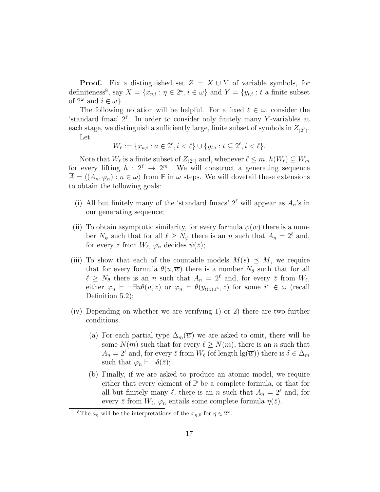**Proof.** Fix a distinguished set  $Z = X \cup Y$  of variable symbols, for definiteness<sup>8</sup>, say  $X = \{x_{\eta,i} : \eta \in 2^\omega, i \in \omega\}$  and  $Y = \{y_{t,i} : t \text{ a finite subset}\}$ of  $2^{\omega}$  and  $i \in \omega$ .

The following notation will be helpful. For a fixed  $\ell \in \omega$ , consider the 'standard fmac'  $2^{\ell}$ . In order to consider only finitely many Y-variables at each stage, we distinguish a sufficiently large, finite subset of symbols in  $Z_{(2^{\ell})}$ . Let

$$
W_{\ell} := \{ x_{a,i} : a \in 2^{\ell}, i < \ell \} \cup \{ y_{t,i} : t \subseteq 2^{\ell}, i < \ell \}.
$$

Note that  $W_{\ell}$  is a finite subset of  $Z_{(2^{\ell})}$  and, whenever  $\ell \leq m$ ,  $h(W_{\ell}) \subseteq W_m$ for every lifting  $h: 2^{\ell} \to 2^m$ . We will construct a generating sequence  $\overline{A} = \langle (A_n, \varphi_n) : n \in \omega \rangle$  from P in  $\omega$  steps. We will dovetail these extensions to obtain the following goals:

- (i) All but finitely many of the 'standard fmacs'  $2^{\ell}$  will appear as  $A_n$ 's in our generating sequence;
- (ii) To obtain asymptotic similarity, for every formula  $\psi(\overline{w})$  there is a number  $N_{\psi}$  such that for all  $\ell \geq N_{\psi}$  there is an n such that  $A_n = 2^{\ell}$  and, for every  $\bar{z}$  from  $W_{\ell}$ ,  $\varphi_n$  decides  $\psi(\bar{z});$
- (iii) To show that each of the countable models  $M(s) \preceq M$ , we require that for every formula  $\theta(u,\overline{w})$  there is a number  $N_{\theta}$  such that for all  $\ell \geq N_{\theta}$  there is an n such that  $A_n = 2^{\ell}$  and, for every  $\bar{z}$  from  $W_{\ell}$ , either  $\varphi_n \vdash \neg \exists u \theta(u,\bar{z})$  or  $\varphi_n \vdash \theta(y_{t(\bar{z}),i^*}, \bar{z})$  for some  $i^* \in \omega$  (recall Definition 5.2);
- (iv) Depending on whether we are verifying 1) or 2) there are two further conditions.
	- (a) For each partial type  $\Delta_m(\overline{w})$  we are asked to omit, there will be some  $N(m)$  such that for every  $\ell \geq N(m)$ , there is an n such that  $A_n = 2^{\ell}$  and, for every  $\bar{z}$  from  $W_{\ell}$  (of length  $\lg(\bar{w})$ ) there is  $\delta \in \Delta_m$ such that  $\varphi_n \vdash \neg \delta(\bar{z});$
	- (b) Finally, if we are asked to produce an atomic model, we require either that every element of  $\mathbb P$  be a complete formula, or that for all but finitely many  $\ell$ , there is an n such that  $A_n = 2^{\ell}$  and, for every  $\bar{z}$  from  $W_{\ell}$ ,  $\varphi_n$  entails some complete formula  $\eta(\bar{z})$ .

<sup>&</sup>lt;sup>8</sup>The  $a_{\eta}$  will be the interpretations of the  $x_{\eta,0}$  for  $\eta \in 2^{\omega}$ .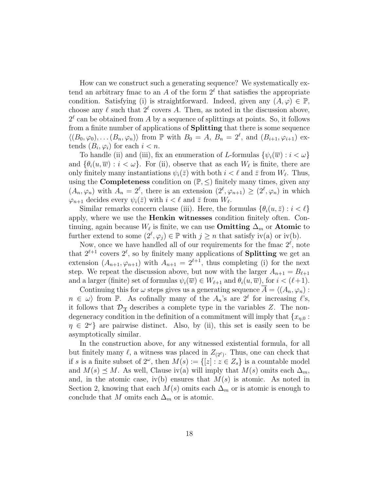How can we construct such a generating sequence? We systematically extend an arbitrary fmac to an A of the form  $2^{\ell}$  that satisfies the appropriate condition. Satisfying (i) is straightforward. Indeed, given any  $(A, \varphi) \in \mathbb{P}$ , choose any  $\ell$  such that  $2^{\ell}$  covers A. Then, as noted in the discussion above,  $2^{\ell}$  can be obtained from A by a sequence of splittings at points. So, it follows from a finite number of applications of Splitting that there is some sequence  $\langle (B_0, \varphi_0), \ldots (B_n, \varphi_n) \rangle$  from P with  $B_0 = A, B_n = 2^{\ell}$ , and  $(B_{i+1}, \varphi_{i+1})$  extends  $(B_i, \varphi_i)$  for each  $i < n$ .

To handle (ii) and (iii), fix an enumeration of L-formulas  $\{\psi_i(\overline{w}) : i < \omega\}$ and  $\{\theta_i(u,\overline{w}) : i < \omega\}$ . For (ii), observe that as each  $W_{\ell}$  is finite, there are only finitely many instantiations  $\psi_i(\bar{z})$  with both  $i < \ell$  and  $\bar{z}$  from  $W_{\ell}$ . Thus, using the **Completeness** condition on  $(\mathbb{P}, \leq)$  finitely many times, given any  $(A_n, \varphi_n)$  with  $A_n = 2^{\ell}$ , there is an extension  $(2^{\ell}, \varphi_{n+1}) \geq (2^{\ell}, \varphi_n)$  in which  $\varphi_{n+1}$  decides every  $\psi_i(\bar{z})$  with  $i < \ell$  and  $\bar{z}$  from  $W_{\ell}$ .

Similar remarks concern clause (iii). Here, the formulas  $\{\theta_i(u, \bar{z}) : i < \ell\}$ apply, where we use the Henkin witnesses condition finitely often. Continuing, again because  $W_{\ell}$  is finite, we can use **Omitting**  $\Delta_m$  or **Atomic** to further extend to some  $(2^{\ell}, \varphi_j) \in \mathbb{P}$  with  $j \geq n$  that satisfy iv(a) or iv(b).

Now, once we have handled all of our requirements for the fmac  $2^{\ell}$ , note that  $2^{\ell+1}$  covers  $2^{\ell}$ , so by finitely many applications of **Splitting** we get an extension  $(A_{n+1}, \varphi_{n+1})$  with  $A_{n+1} = 2^{\ell+1}$ , thus completing (i) for the next step. We repeat the discussion above, but now with the larger  $A_{n+1} = B_{\ell+1}$ and a larger (finite) set of formulas  $\psi_i(\overline{w}) \in W_{\ell+1}$  and  $\theta_i(u, \overline{w})$ , for  $i < (\ell+1)$ .

Continuing this for  $\omega$  steps gives us a generating sequence  $A = \langle (A_n, \varphi_n) :$  $n \in \omega$  from P. As cofinally many of the  $A_n$ 's are  $2^{\ell}$  for increasing  $\ell$ 's, it follows that  $\mathcal{D}_{\overline{A}}$  describes a complete type in the variables Z. The nondegeneracy condition in the definition of a commitment will imply that  ${x_{n,0}}$ :  $\eta \in 2^{\omega}$  are pairwise distinct. Also, by (ii), this set is easily seen to be asymptotically similar.

In the construction above, for any witnessed existential formula, for all but finitely many  $\ell$ , a witness was placed in  $Z_{(2^{\ell})}$ . Thus, one can check that if s is a finite subset of  $2^{\omega}$ , then  $M(s) := \{ [z] : z \in Z_s \}$  is a countable model and  $M(s) \preceq M$ . As well, Clause iv(a) will imply that  $M(s)$  omits each  $\Delta_m$ , and, in the atomic case, iv(b) ensures that  $M(s)$  is atomic. As noted in Section 2, knowing that each  $M(s)$  omits each  $\Delta_m$  or is atomic is enough to conclude that M omits each  $\Delta_m$  or is atomic.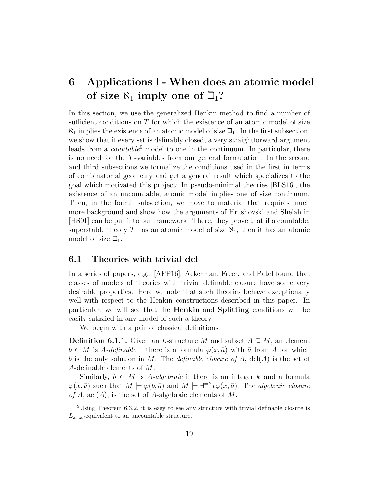## 6 Applications I - When does an atomic model of size  $\aleph_1$  imply one of  $\beth_1$ ?

In this section, we use the generalized Henkin method to find a number of sufficient conditions on  $T$  for which the existence of an atomic model of size  $\aleph_1$  implies the existence of an atomic model of size  $\beth_1$ . In the first subsection, we show that if every set is definably closed, a very straightforward argument leads from a *countable*<sup>9</sup> model to one in the continuum. In particular, there is no need for the Y -variables from our general formulation. In the second and third subsections we formalize the conditions used in the first in terms of combinatorial geometry and get a general result which specializes to the goal which motivated this project: In pseudo-minimal theories [BLS16], the existence of an uncountable, atomic model implies one of size continuum. Then, in the fourth subsection, we move to material that requires much more background and show how the arguments of Hrushovski and Shelah in [HS91] can be put into our framework. There, they prove that if a countable, superstable theory T has an atomic model of size  $\aleph_1$ , then it has an atomic model of size  $\mathbb{Z}_1$ .

### 6.1 Theories with trivial dcl

In a series of papers, e.g., [AFP16], Ackerman, Freer, and Patel found that classes of models of theories with trivial definable closure have some very desirable properties. Here we note that such theories behave exceptionally well with respect to the Henkin constructions described in this paper. In particular, we will see that the Henkin and Splitting conditions will be easily satisfied in any model of such a theory.

We begin with a pair of classical definitions.

**Definition 6.1.1.** Given an L-structure M and subset  $A \subseteq M$ , an element  $b \in M$  is A-definable if there is a formula  $\varphi(x, \bar{a})$  with  $\bar{a}$  from A for which b is the only solution in M. The definable closure of A, dcl(A) is the set of A-definable elements of M.

Similarly,  $b \in M$  is A-algebraic if there is an integer k and a formula  $\varphi(x,\bar{a})$  such that  $M \models \varphi(b,\bar{a})$  and  $M \models \exists^{=k} x \varphi(x,\bar{a})$ . The algebraic closure of A, acl(A), is the set of A-algebraic elements of M.

<sup>9</sup>Using Theorem 6.3.2, it is easy to see any structure with trivial definable closure is  $L_{\omega_1,\omega}$ -equivalent to an uncountable structure.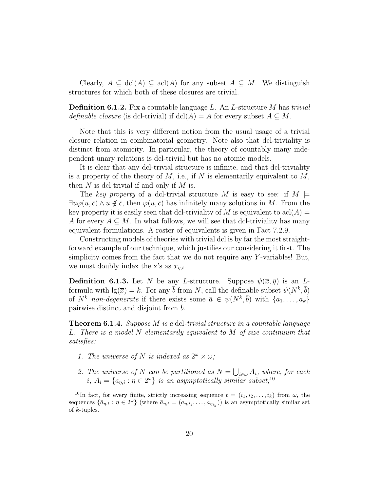Clearly,  $A \subseteq \text{dcl}(A) \subseteq \text{acl}(A)$  for any subset  $A \subseteq M$ . We distinguish structures for which both of these closures are trivial.

**Definition 6.1.2.** Fix a countable language L. An L-structure M has trivial definable closure (is dcl-trivial) if  $dcl(A) = A$  for every subset  $A \subseteq M$ .

Note that this is very different notion from the usual usage of a trivial closure relation in combinatorial geometry. Note also that dcl-triviality is distinct from atomicity. In particular, the theory of countably many independent unary relations is dcl-trivial but has no atomic models.

It is clear that any dcl-trivial structure is infinite, and that dcl-triviality is a property of the theory of M, i.e., if N is elementarily equivalent to  $M$ , then  $N$  is dcl-trivial if and only if  $M$  is.

The key property of a dcl-trivial structure M is easy to see: if  $M \models$  $\exists u \varphi(u, \bar{c}) \wedge u \notin \bar{c}$ , then  $\varphi(u, \bar{c})$  has infinitely many solutions in M. From the key property it is easily seen that dcl-triviality of M is equivalent to  $\text{acl}(A) =$ A for every  $A \subseteq M$ . In what follows, we will see that dcl-triviality has many equivalent formulations. A roster of equivalents is given in Fact 7.2.9.

Constructing models of theories with trivial dcl is by far the most straightforward example of our technique, which justifies our considering it first. The simplicity comes from the fact that we do not require any  $Y$ -variables! But, we must doubly index the x's as  $x_{n,i}$ .

**Definition 6.1.3.** Let N be any L-structure. Suppose  $\psi(\overline{x}, \overline{y})$  is an Lformula with  $\lg(\overline{x}) = k$ . For any  $\overline{b}$  from N, call the definable subset  $\psi(N^k, \overline{b})$ of  $N^k$  non-degenerate if there exists some  $\bar{a} \in \psi(N^k, \bar{b})$  with  $\{a_1, \ldots, a_k\}$ pairwise distinct and disjoint from  $\bar{b}$ .

**Theorem 6.1.4.** Suppose M is a dcl-trivial structure in a countable language L. There is a model N elementarily equivalent to M of size continuum that satisfies:

- 1. The universe of N is indexed as  $2^{\omega} \times \omega$ ;
- 2. The universe of N can be partitioned as  $N = \bigcup_{i \in \omega} A_i$ , where, for each i,  $A_i = \{a_{\eta,i} : \eta \in 2^{\omega}\}\$ is an asymptotically similar subset;  $^{10}$

<sup>&</sup>lt;sup>10</sup>In fact, for every finite, strictly increasing sequence  $t = (i_1, i_2, \ldots, i_k)$  from  $\omega$ , the sequences  $\{\bar{a}_{\eta,t} : \eta \in 2^{\omega}\}\$  (where  $\bar{a}_{\eta,t} = (a_{\eta,i_1},\ldots,a_{\eta_{i_k}})\$ ) is an asymptotically similar set of k-tuples.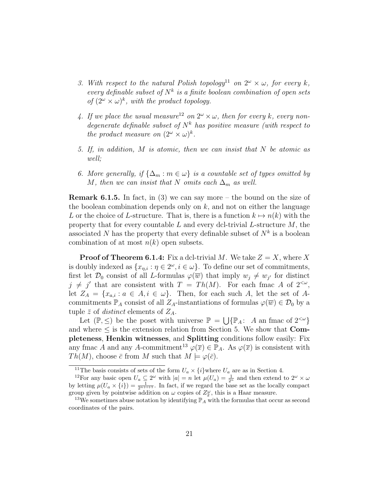- 3. With respect to the natural Polish topology<sup>11</sup> on  $2^{\omega} \times \omega$ , for every k, every definable subset of  $N^k$  is a finite boolean combination of open sets of  $(2^{\omega} \times \omega)^k$ , with the product topology.
- 4. If we place the usual measure<sup>12</sup> on  $2^{\omega} \times \omega$ , then for every k, every nondegenerate definable subset of  $N^k$  has positive measure (with respect to the product measure on  $(2^{\omega} \times \omega)^k$ .
- 5. If, in addition, M is atomic, then we can insist that N be atomic as well;
- 6. More generally, if  $\{\Delta_m : m \in \omega\}$  is a countable set of types omitted by M, then we can insist that N omits each  $\Delta_m$  as well.

**Remark 6.1.5.** In fact, in (3) we can say more – the bound on the size of the boolean combination depends only on  $k$ , and not on either the language L or the choice of L-structure. That is, there is a function  $k \mapsto n(k)$  with the property that for every countable L and every dcl-trivial L-structure  $M$ , the associated N has the property that every definable subset of  $N^k$  is a boolean combination of at most  $n(k)$  open subsets.

**Proof of Theorem 6.1.4:** Fix a dcl-trivial M. We take  $Z = X$ , where X is doubly indexed as  $\{x_{\eta,i} : \eta \in 2^{\omega}, i \in \omega\}$ . To define our set of commitments, first let  $\mathcal{D}_0$  consist of all *L*-formulas  $\varphi(\overline{w})$  that imply  $w_j \neq w_{j'}$  for distinct  $j \neq j'$  that are consistent with  $T = Th(M)$ . For each fmac A of  $2<sup>{\omega}</sup>$ , let  $Z_A = \{x_{a,i} : a \in A, i \in \omega\}$ . Then, for each such A, let the set of Acommitments  $\mathbb{P}_A$  consist of all  $Z_A$ -instantiations of formulas  $\varphi(\overline{w}) \in \mathcal{D}_0$  by a tuple  $\bar{z}$  of *distinct* elements of  $Z_A$ .

Let  $(\mathbb{P}, \leq)$  be the poset with universe  $\mathbb{P} = \bigcup \{ \mathbb{P}_A : A \text{ an frac of } 2^{<\omega} \}$ and where  $\leq$  is the extension relation from Section 5. We show that **Com**pleteness, Henkin witnesses, and Splitting conditions follow easily: Fix any fmac A and any A-commitment<sup>13</sup>  $\varphi(\overline{x}) \in \mathbb{P}_A$ . As  $\varphi(\overline{x})$  is consistent with  $Th(M)$ , choose  $\bar{c}$  from M such that  $M \models \varphi(\bar{c})$ .

<sup>&</sup>lt;sup>11</sup>The basis consists of sets of the form  $U_a \times \{i\}$  where  $U_a$  are as in Section 4.

<sup>&</sup>lt;sup>12</sup>For any basic open  $U_a \subseteq 2^{\omega}$  with  $|a| = n$  let  $\mu(U_a) = \frac{1}{2^n}$  and then extend to  $2^{\omega} \times \omega$ by letting  $\mu(U_a \times \{i\}) = \frac{1}{2^{n+i+1}}$ . In fact, if we regard the base set as the locally compact group given by pointwise addition on  $\omega$  copies of  $Z_2^{\omega}$ , this is a Haar measure.

<sup>&</sup>lt;sup>13</sup>We sometimes abuse notation by identifying  $\mathbb{P}_A$  with the formulas that occur as second coordinates of the pairs.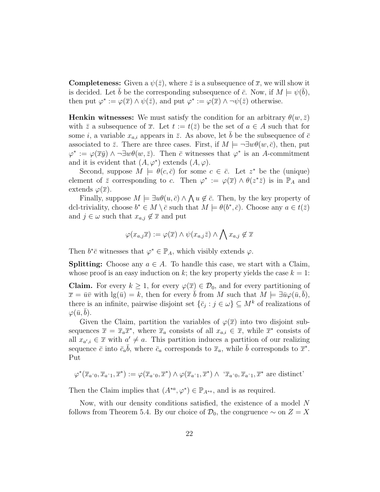**Completeness:** Given a  $\psi(\bar{z})$ , where  $\bar{z}$  is a subsequence of  $\bar{x}$ , we will show it is decided. Let  $\bar{b}$  be the corresponding subsequence of  $\bar{c}$ . Now, if  $M \models \psi(\bar{b})$ , then put  $\varphi^* := \varphi(\overline{x}) \wedge \psi(\overline{z})$ , and put  $\varphi^* := \varphi(\overline{x}) \wedge \neg \psi(\overline{z})$  otherwise.

**Henkin witnesses:** We must satisfy the condition for an arbitrary  $\theta(w,\bar{z})$ with  $\bar{z}$  a subsequence of  $\bar{x}$ . Let  $t := t(\bar{z})$  be the set of  $a \in A$  such that for some i, a variable  $x_{a,i}$  appears in  $\bar{z}$ . As above, let b be the subsequence of  $\bar{c}$ associated to  $\bar{z}$ . There are three cases. First, if  $M \models \neg \exists w \theta(w, \bar{c})$ , then, put  $\varphi^* := \varphi(\overline{x} \overline{y}) \wedge \neg \exists w \theta(w, \overline{z})$ . Then  $\overline{c}$  witnesses that  $\varphi^*$  is an A-commitment and it is evident that  $(A, \varphi^*)$  extends  $(A, \varphi)$ .

Second, suppose  $M \models \theta(c, \bar{c})$  for some  $c \in \bar{c}$ . Let  $z^*$  be the (unique) element of  $\bar{z}$  corresponding to c. Then  $\varphi^* := \varphi(\bar{x}) \wedge \theta(z^* \bar{z})$  is in  $\mathbb{P}_A$  and extends  $\varphi(\overline{x})$ .

Finally, suppose  $M \models \exists u \theta(u, \bar{c}) \land \bigwedge u \notin \bar{c}$ . Then, by the key property of dcl-triviality, choose  $b^* \in M \setminus \overline{c}$  such that  $M \models \theta(b^*, \overline{c})$ . Choose any  $a \in t(\overline{z})$ and  $j \in \omega$  such that  $x_{a,j} \notin \overline{x}$  and put

$$
\varphi(x_{a,j}\overline{x}) := \varphi(\overline{x}) \wedge \psi(x_{a,j}\overline{z}) \wedge \bigwedge x_{a,j} \notin \overline{x}
$$

Then  $b^*\bar{c}$  witnesses that  $\varphi^* \in \mathbb{P}_A$ , which visibly extends  $\varphi$ .

**Splitting:** Choose any  $a \in A$ . To handle this case, we start with a Claim, whose proof is an easy induction on k; the key property yields the case  $k = 1$ :

**Claim.** For every  $k \geq 1$ , for every  $\varphi(\overline{x}) \in \mathcal{D}_0$ , and for every partitioning of  $\overline{x} = \overline{u} \overline{v}$  with  $\lg(\overline{u}) = k$ , then for every b from M such that  $M \models \exists \overline{u} \varphi(\overline{u}, b)$ , there is an infinite, pairwise disjoint set  $\{\bar{c}_j : j \in \omega\} \subseteq M^k$  of realizations of  $\varphi(\bar{u}, b)$ .

Given the Claim, partition the variables of  $\varphi(\overline{x})$  into two disjoint subsequences  $\bar{x} = \bar{x}_a \bar{x}^*$ , where  $\bar{x}_a$  consists of all  $x_{a,i} \in \bar{x}$ , while  $\bar{x}^*$  consists of all  $x_{a',i} \in \overline{x}$  with  $a' \neq a$ . This partition induces a partition of our realizing sequence  $\bar{c}$  into  $\bar{c}_a\bar{b}$ , where  $\bar{c}_a$  corresponds to  $\bar{x}_a$ , while  $\bar{b}$  corresponds to  $\bar{x}^*$ . Put

$$
\varphi^*(\overline{x}_{a\hat{0}}, \overline{x}_{a\hat{1}}, \overline{x}^*) := \varphi(\overline{x}_{a\hat{0}}, \overline{x}^*) \wedge \varphi(\overline{x}_{a\hat{1}}, \overline{x}^*) \wedge \langle \overline{x}_{a\hat{0}}, \overline{x}_{a\hat{1}}, \overline{x}^* \text{ are distinct})
$$

Then the Claim implies that  $(A^{*a}, \varphi^*) \in \mathbb{P}_{A^{*a}}$ , and is as required.

Now, with our density conditions satisfied, the existence of a model N follows from Theorem 5.4. By our choice of  $\mathcal{D}_0$ , the congruence  $\sim$  on  $Z = X$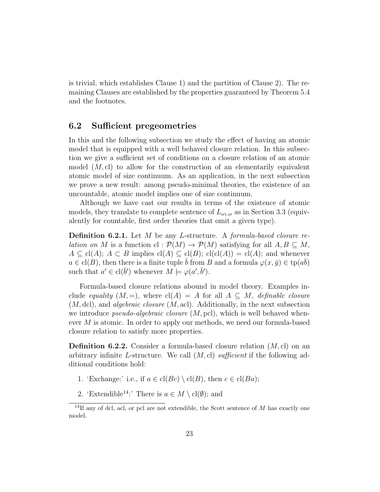is trivial, which establishes Clause 1) and the partition of Clause 2). The remaining Clauses are established by the properties guaranteed by Theorem 5.4 and the footnotes.

### 6.2 Sufficient pregeometries

In this and the following subsection we study the effect of having an atomic model that is equipped with a well behaved closure relation. In this subsection we give a sufficient set of conditions on a closure relation of an atomic model  $(M, c)$  to allow for the construction of an elementarily equivalent atomic model of size continuum. As an application, in the next subsection we prove a new result: among pseudo-minimal theories, the existence of an uncountable, atomic model implies one of size continuum.

Although we have cast our results in terms of the existence of atomic models, they translate to complete sentence of  $L_{\omega_1,\omega}$  as in Section 3.3 (equivalently for countable, first order theories that omit a given type).

**Definition 6.2.1.** Let  $M$  be any L-structure. A *formula-based closure relation on* M is a function cl :  $\mathcal{P}(M) \to \mathcal{P}(M)$  satisfying for all  $A, B \subseteq M$ ,  $A \subseteq cl(A); A \subseteq B$  implies  $cl(A) \subseteq cl(B); cl(cl(A)) = cl(A);$  and whenever  $a \in \text{cl}(B)$ , then there is a finite tuple  $\bar{b}$  from B and a formula  $\varphi(x, \bar{y}) \in \text{tp}(a\bar{b})$ such that  $a' \in \text{cl}(\bar{b}')$  whenever  $M \models \varphi(a', \bar{b}').$ 

Formula-based closure relations abound in model theory. Examples include equality  $(M, =)$ , where  $cl(A) = A$  for all  $A \subseteq M$ , definable closure  $(M, \text{dcl})$ , and *algebraic closure*  $(M, \text{acl})$ . Additionally, in the next subsection we introduce *pseudo-algebraic closure*  $(M, \text{pel})$ , which is well behaved whenever M is atomic. In order to apply our methods, we need our formula-based closure relation to satisfy more properties.

**Definition 6.2.2.** Consider a formula-based closure relation  $(M, c)$  on an arbitrary infinite L-structure. We call  $(M, c)$  sufficient if the following additional conditions hold:

- 1. 'Exchange:' i.e., if  $a \in \text{cl}(Bc) \setminus \text{cl}(B)$ , then  $c \in \text{cl}(Ba)$ ;
- 2. 'Extendible<sup>14</sup>:' There is  $a \in M \setminus cl(\emptyset)$ ; and

<sup>&</sup>lt;sup>14</sup>If any of dcl, acl, or pcl are not extendible, the Scott sentence of M has exactly one model.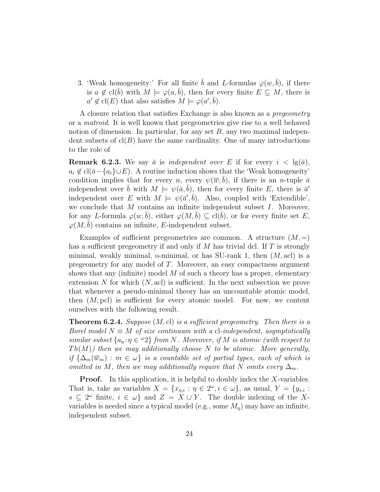3. 'Weak homogeneity:' For all finite b and L-formulas  $\varphi(w, b)$ , if there is  $a \notin cl(b)$  with  $M \models \varphi(a, b)$ , then for every finite  $E \subseteq M$ , there is  $a' \notin \text{cl}(E)$  that also satisfies  $M \models \varphi(a', \overline{b}).$ 

A closure relation that satisfies Exchange is also known as a pregeometry or a matroid. It is well known that pregeometries give rise to a well behaved notion of dimension. In particular, for any set  $B$ , any two maximal independent subsets of  $cl(B)$  have the same cardinality. One of many introductions to the role of

**Remark 6.2.3.** We say  $\bar{a}$  is independent over E if for every  $i < \lg(\bar{a})$ ,  $a_i \notin \text{cl}(\bar{a}-a_i\} \cup E)$ . A routine induction shows that the 'Weak homogeneity' condition implies that for every n, every  $\psi(\overline{w}, b)$ , if there is an n-tuple  $\overline{a}$ independent over  $\bar{b}$  with  $M \models \psi(\bar{a}, \bar{b})$ , then for every finite E, there is  $\bar{a}'$ independent over E with  $M \models \psi(\bar{a}', \bar{b})$ . Also, coupled with 'Extendible', we conclude that  $M$  contains an infinite independent subset  $I$ . Moreover, for any L-formula  $\varphi(w, b)$ , either  $\varphi(M, b) \subseteq$  cl(b), or for every finite set E,  $\varphi(M, b)$  contains an infinite, E-independent subset.

Examples of sufficient pregeometries are common. A structure  $(M, =)$ has a sufficient pregeometry if and only if M has trivial dcl. If  $T$  is strongly minimal, weakly minimal, o-minimal, or has SU-rank 1, then  $(M, \text{acl})$  is a pregeometry for any model of T. Moreover, an easy compactness argument shows that any (infinite) model  $M$  of such a theory has a proper, elementary extension N for which  $(N, \text{acl})$  is sufficient. In the next subsection we prove that whenever a pseudo-minimal theory has an uncountable atomic model, then  $(M, \text{pc})$  is sufficient for every atomic model. For now, we content ourselves with the following result.

**Theorem 6.2.4.** Suppose  $(M, cl)$  is a sufficient pregeometry. Then there is a Borel model  $N \equiv M$  of size continuum with a cl-independent, asymptotically similar subset  $\{a_n : n \in \mathbb{Z}\}$  from N. Moreover, if M is atomic (with respect to  $Th(M)$ ) then we may additionally choose N to be atomic. More generally, if  ${\{\Delta_m(\overline{w}_m): m \in \omega\}}$  is a countable set of partial types, each of which is omitted in M, then we may additionally require that N omits every  $\Delta_m$ .

**Proof.** In this application, it is helpful to doubly index the  $X$ -variables. That is, take as variables  $X = \{x_{\eta,i} : \eta \in 2^\omega, i \in \omega\}$ , as usual,  $Y = \{y_{s,i} : \eta \in 2^\omega, i \in \omega\}$  $s \subseteq 2^{\omega}$  finite,  $i \in \omega$  and  $Z = X \cup Y$ . The double indexing of the Xvariables is needed since a typical model (e.g., some  $M_n$ ) may have an infinite, independent subset.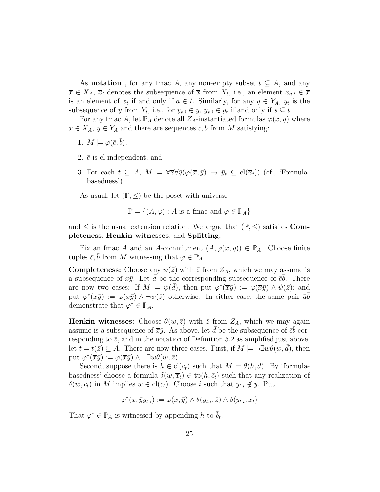As **notation**, for any fmac A, any non-empty subset  $t \subseteq A$ , and any  $\overline{x} \in X_A$ ,  $\overline{x}_t$  denotes the subsequence of  $\overline{x}$  from  $X_t$ , i.e., an element  $x_{a,i} \in \overline{x}$ is an element of  $\overline{x}_t$  if and only if  $a \in t$ . Similarly, for any  $\overline{y} \in Y_A$ ,  $\overline{y}_t$  is the subsequence of  $\bar{y}$  from  $Y_t$ , i.e., for  $y_{s,i} \in \bar{y}$ ,  $y_{s,i} \in \bar{y}_t$  if and only if  $s \subseteq t$ .

For any fmac A, let  $\mathbb{P}_A$  denote all  $Z_A$ -instantiated formulas  $\varphi(\overline{x}, \overline{y})$  where  $\overline{x} \in X_A$ ,  $\overline{y} \in Y_A$  and there are sequences  $\overline{c}$ , b from M satisfying:

- 1.  $M \models \varphi(\bar{c}, \bar{b});$
- 2.  $\bar{c}$  is cl-independent; and
- 3. For each  $t \subseteq A$ ,  $M \models \forall \overline{x} \forall \overline{y} (\varphi(\overline{x}, \overline{y}) \rightarrow \overline{y}_t \subseteq \text{cl}(\overline{x}_t))$  (cf., 'Formulabasedness')

As usual, let  $(\mathbb{P}, \leq)$  be the poset with universe

$$
\mathbb{P} = \{(A, \varphi) : A \text{ is a func and } \varphi \in \mathbb{P}_A\}
$$

and  $\leq$  is the usual extension relation. We argue that  $(\mathbb{P}, \leq)$  satisfies **Com**pleteness, Henkin witnesses, and Splitting.

Fix an fmac A and an A-commitment  $(A, \varphi(\overline{x}, \overline{y})) \in \mathbb{P}_A$ . Choose finite tuples  $\bar{c}$ , b from M witnessing that  $\varphi \in \mathbb{P}_A$ .

**Completeness:** Choose any  $\psi(\bar{z})$  with  $\bar{z}$  from  $Z_A$ , which we may assume is a subsequence of  $\overline{x}\overline{y}$ . Let  $\overline{d}$  be the corresponding subsequence of  $\overline{c}\overline{b}$ . There are now two cases: If  $M \models \psi(\bar{d})$ , then put  $\varphi^*(\bar{x}\bar{y}) := \varphi(\bar{x}\bar{y}) \wedge \psi(\bar{z})$ ; and put  $\varphi^*(\overline{x}\overline{y}) := \varphi(\overline{x}\overline{y}) \wedge \neg \psi(\overline{z})$  otherwise. In either case, the same pair  $\overline{a}\overline{b}$ demonstrate that  $\varphi^* \in \mathbb{P}_A$ .

**Henkin witnesses:** Choose  $\theta(w, \bar{z})$  with  $\bar{z}$  from  $Z_A$ , which we may again assume is a subsequence of  $\overline{x}\overline{y}$ . As above, let  $\overline{d}$  be the subsequence of  $\overline{c}\overline{b}$  corresponding to  $\bar{z}$ , and in the notation of Definition 5.2 as amplified just above, let  $t = t(\overline{z}) \subseteq A$ . There are now three cases. First, if  $M \models \neg \exists w \theta(w, d)$ , then put  $\varphi^*(\overline{x}\overline{y}) := \varphi(\overline{x}\overline{y}) \wedge \neg \exists w \theta(w, \overline{z}).$ 

Second, suppose there is  $h \in \text{cl}(\bar{c}_t)$  such that  $M \models \theta(h, \bar{d})$ . By 'formulabasedness' choose a formula  $\delta(w, \overline{x}_t) \in \text{tp}(h, \overline{c}_t)$  such that any realization of  $\delta(w, \bar{c}_t)$  in M implies  $w \in \text{cl}(\bar{c}_t)$ . Choose i such that  $y_{t,i} \notin \bar{y}$ . Put

$$
\varphi^*(\overline{x}, \overline{y}y_{t,i}) := \varphi(\overline{x}, \overline{y}) \wedge \theta(y_{t,i}, \overline{z}) \wedge \delta(y_{t,i}, \overline{x}_t)
$$

That  $\varphi^* \in \mathbb{P}_A$  is witnessed by appending h to  $\bar{b}_t$ .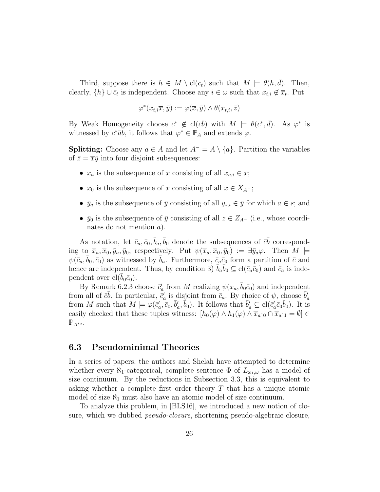Third, suppose there is  $h \in M \setminus cl(\bar{c}_t)$  such that  $M \models \theta(h, d)$ . Then, clearly,  $\{h\} \cup \bar{c}_t$  is independent. Choose any  $i \in \omega$  such that  $x_{t,i} \notin \bar{x}_t$ . Put

$$
\varphi^*(x_{t,i}\overline{x},\overline{y}) := \varphi(\overline{x},\overline{y}) \wedge \theta(x_{t,i},\overline{z})
$$

By Weak Homogeneity choose  $c^* \notin \text{cl}(\bar{c}\bar{b})$  with  $M \models \theta(c^*, \bar{d})$ . As  $\varphi^*$  is witnessed by  $c^*\bar{a}\bar{b}$ , it follows that  $\varphi^* \in \mathbb{P}_A$  and extends  $\varphi$ .

**Splitting:** Choose any  $a \in A$  and let  $A^- = A \setminus \{a\}$ . Partition the variables of  $\bar{z} = \bar{x}\bar{y}$  into four disjoint subsequences:

- $\bar{x}_a$  is the subsequence of  $\bar{x}$  consisting of all  $x_{a,i} \in \bar{x}$ ;
- $\overline{x}_0$  is the subsequence of  $\overline{x}$  consisting of all  $x \in X_{A^-}$ ;
- $\bar{y}_a$  is the subsequence of  $\bar{y}$  consisting of all  $y_{s,i} \in \bar{y}$  for which  $a \in s$ ; and
- $\bar{y}_0$  is the subsequence of  $\bar{y}$  consisting of all  $z \in Z_{A^-}$  (i.e., whose coordinates do not mention a).

As notation, let  $\bar{c}_a, \bar{c}_0, \bar{b}_a, \bar{b}_0$  denote the subsequences of  $\bar{c}\bar{b}$  corresponding to  $\overline{x}_a, \overline{x}_0, \overline{y}_a, \overline{y}_0$ , respectively. Put  $\psi(\overline{x}_a, \overline{x}_0, \overline{y}_0) := \exists \overline{y}_a \varphi$ . Then  $M \models$  $\psi(\bar{c}_a, \bar{b}_0, \bar{c}_0)$  as witnessed by  $\bar{b}_a$ . Furthermore,  $\bar{c}_a\bar{c}_0$  form a partition of  $\bar{c}$  and hence are independent. Thus, by condition 3)  $\bar{b}_a \bar{b}_0 \subseteq \text{cl}(\bar{c}_a \bar{c}_0)$  and  $\bar{c}_a$  is independent over  $cl(b_0\bar{c}_0)$ .

By Remark 6.2.3 choose  $\bar{c}'_a$  from M realizing  $\psi(\bar{x}_a, \bar{b}_0\bar{c}_0)$  and independent from all of  $\bar{c}\bar{b}$ . In particular,  $\bar{c}'_a$  is disjoint from  $\bar{c}_a$ . By choice of  $\psi$ , choose  $\bar{b}'_a$ from M such that  $M \models \varphi(\bar{c}'_a, \bar{c}_0, \bar{b}'_a, \bar{b}_0)$ . It follows that  $\bar{b}'_a \subseteq \text{cl}(\bar{c}'_a \bar{c}_0 \bar{b}_0)$ . It is easily checked that these tuples witness:  $[h_0(\varphi) \wedge h_1(\varphi) \wedge \overline{x}_{a\hat{0}} \cap \overline{x}_{a\hat{1}} = \emptyset] \in$  $\mathbb{P}_{A^{*a}}$ .

### 6.3 Pseudominimal Theories

In a series of papers, the authors and Shelah have attempted to determine whether every  $\aleph_1$ -categorical, complete sentence  $\Phi$  of  $L_{\omega_1,\omega}$  has a model of size continuum. By the reductions in Subsection 3.3, this is equivalent to asking whether a complete first order theory  $T$  that has a unique atomic model of size  $\aleph_1$  must also have an atomic model of size continuum.

To analyze this problem, in [BLS16], we introduced a new notion of closure, which we dubbed pseudo-closure, shortening pseudo-algebraic closure,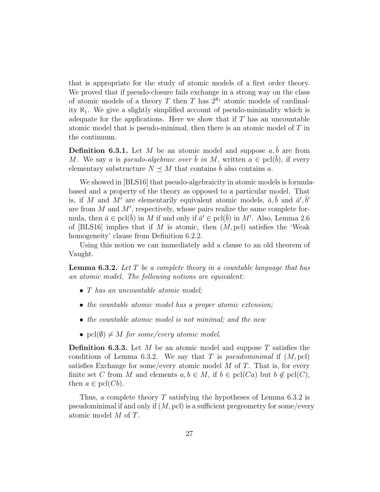that is appropriate for the study of atomic models of a first order theory. We proved that if pseudo-closure fails exchange in a strong way on the class of atomic models of a theory T then T has  $2^{\aleph_1}$  atomic models of cardinality  $\aleph_1$ . We give a slightly simplified account of pseudo-minimality which is adequate for the applications. Here we show that if  $T$  has an uncountable atomic model that is pseudo-minimal, then there is an atomic model of T in the continuum.

**Definition 6.3.1.** Let M be an atomic model and suppose  $a, \bar{b}$  are from M. We say a is pseudo-algebraic over  $\bar{b}$  in M, written  $a \in \text{pel}(\bar{b})$ , if every elementary substructure  $N \preceq M$  that contains  $\overline{b}$  also contains a.

We showed in [BLS16] that pseudo-algebraicity in atomic models is formulabased and a property of the theory as opposed to a particular model. That is, if M and M' are elementarily equivalent atomic models,  $\bar{a}, \bar{b}$  and  $\bar{a}', \bar{b}'$ are from  $M$  and  $M'$ , respectively, whose pairs realize the same complete formula, then  $\bar{a} \in \text{pel}(\bar{b})$  in M if and only if  $\bar{a}' \in \text{pel}(\bar{b})$  in M'. Also, Lemma 2.6 of [BLS16] implies that if M is atomic, then  $(M, \text{pc})$  satisfies the 'Weak homogeneity' clause from Definition 6.2.2.

Using this notion we can immediately add a clause to an old theorem of Vaught.

**Lemma 6.3.2.** Let  $T$  be a complete theory in a countable language that has an atomic model. The following notions are equivalent:

- T has an uncountable atomic model;
- the countable atomic model has a proper atomic extension;
- the countable atomic model is not minimal; and the new
- pcl( $\emptyset$ )  $\neq M$  for some/every atomic model.

**Definition 6.3.3.** Let M be an atomic model and suppose T satisfies the conditions of Lemma 6.3.2. We say that T is *pseudominimal* if  $(M, \text{pc})$ satisfies Exchange for some/every atomic model  $M$  of  $T$ . That is, for every finite set C from M and elements  $a, b \in M$ , if  $b \in \text{pel}(Ca)$  but  $b \notin \text{pel}(C)$ , then  $a \in \text{pel}(Cb)$ .

Thus, a complete theory  $T$  satisfying the hypotheses of Lemma 6.3.2 is pseudominimal if and only if  $(M, \text{pc})$  is a sufficient pregeometry for some/every atomic model M of T.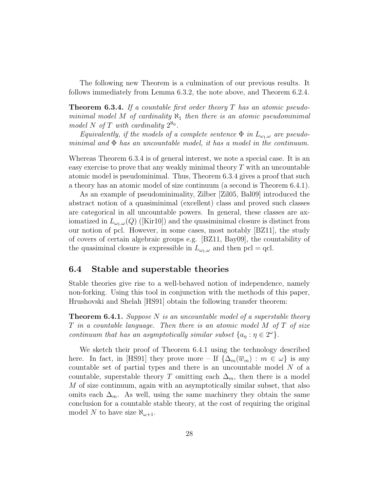The following new Theorem is a culmination of our previous results. It follows immediately from Lemma 6.3.2, the note above, and Theorem 6.2.4.

**Theorem 6.3.4.** If a countable first order theory  $T$  has an atomic pseudominimal model M of cardinality  $\aleph_1$  then there is an atomic pseudominimal model N of T with cardinality  $2^{\aleph_0}$ .

Equivalently, if the models of a complete sentence  $\Phi$  in  $L_{\omega_1,\omega}$  are pseudominimal and  $\Phi$  has an uncountable model, it has a model in the continuum.

Whereas Theorem 6.3.4 is of general interest, we note a special case. It is an easy exercise to prove that any weakly minimal theory  $T$  with an uncountable atomic model is pseudominimal. Thus, Theorem 6.3.4 gives a proof that such a theory has an atomic model of size continuum (a second is Theorem 6.4.1).

As an example of pseudominimality, Zilber [Zil05, Bal09] introduced the abstract notion of a quasiminimal (excellent) class and proved such classes are categorical in all uncountable powers. In general, these classes are axiomatized in  $L_{\omega_1,\omega}(Q)$  ([Kir10]) and the quasiminimal closure is distinct from our notion of pcl. However, in some cases, most notably [BZ11], the study of covers of certain algebraic groups e.g. [BZ11, Bay09], the countability of the quasiminal closure is expressible in  $L_{\omega_1,\omega}$  and then pcl = qcl.

### 6.4 Stable and superstable theories

Stable theories give rise to a well-behaved notion of independence, namely non-forking. Using this tool in conjunction with the methods of this paper, Hrushovski and Shelah [HS91] obtain the following transfer theorem:

**Theorem 6.4.1.** Suppose N is an uncountable model of a superstable theory T in a countable language. Then there is an atomic model M of T of size continuum that has an asymptotically similar subset  $\{a_{\eta} : \eta \in 2^{\omega}\}.$ 

We sketch their proof of Theorem 6.4.1 using the technology described here. In fact, in [HS91] they prove more – If  $\{\Delta_m(\overline{w}_m) : m \in \omega\}$  is any countable set of partial types and there is an uncountable model  $N$  of a countable, superstable theory T omitting each  $\Delta_m$ , then there is a model M of size continuum, again with an asymptotically similar subset, that also omits each  $\Delta_m$ . As well, using the same machinery they obtain the same conclusion for a countable stable theory, at the cost of requiring the original model N to have size  $\aleph_{\omega+1}$ .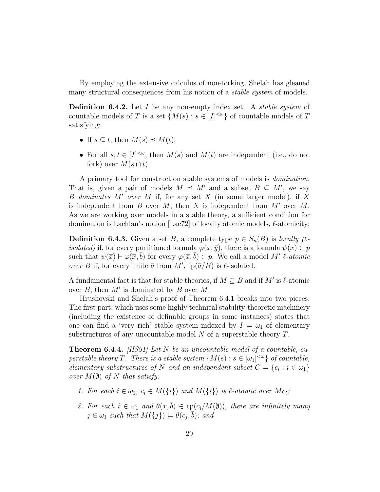By employing the extensive calculus of non-forking, Shelah has gleaned many structural consequences from his notion of a *stable system* of models.

**Definition 6.4.2.** Let I be any non-empty index set. A *stable system* of countable models of T is a set  $\{M(s) : s \in [I]^{<\omega}\}\$  of countable models of T satisfying:

- If  $s \subseteq t$ , then  $M(s) \preceq M(t)$ ;
- For all  $s, t \in [I]^{<\omega}$ , then  $M(s)$  and  $M(t)$  are independent (i.e., do not fork) over  $M(s \cap t)$ .

A primary tool for construction stable systems of models is domination. That is, given a pair of models  $M \preceq M'$  and a subset  $B \subseteq M'$ , we say B dominates M' over M if, for any set X (in some larger model), if X is independent from B over M, then X is independent from  $M'$  over M. As we are working over models in a stable theory, a sufficient condition for domination is Lachlan's notion [Lac72] of locally atomic models,  $\ell$ -atomicity:

**Definition 6.4.3.** Given a set B, a complete type  $p \in S_n(B)$  is locally ( $\ell$ *isolated*) if, for every partitioned formula  $\varphi(\overline{x}, \overline{y})$ , there is a formula  $\psi(\overline{x}) \in p$ such that  $\psi(\overline{x}) \vdash \varphi(\overline{x}, \overline{b})$  for every  $\varphi(\overline{x}, \overline{b}) \in p$ . We call a model M' l-atomic over B if, for every finite  $\bar{a}$  from  $M'$ , tp( $\bar{a}/B$ ) is  $\ell$ -isolated.

A fundamental fact is that for stable theories, if  $M \subseteq B$  and if  $M'$  is  $\ell$ -atomic over  $B$ , then  $M'$  is dominated by  $B$  over  $M$ .

Hrushovski and Shelah's proof of Theorem 6.4.1 breaks into two pieces. The first part, which uses some highly technical stability-theoretic machinery (including the existence of definable groups in some instances) states that one can find a 'very rich' stable system indexed by  $I = \omega_1$  of elementary substructures of any uncountable model  $N$  of a superstable theory  $T$ .

**Theorem 6.4.4.** [HS91] Let N be an uncountable model of a countable, superstable theory T. There is a stable system  $\{M(s): s \in [\omega_1]^{<\omega}\}\$  of countable, elementary substructures of N and an independent subset  $C = \{c_i : i \in \omega_1\}$ over  $M(\emptyset)$  of N that satisfy:

- 1. For each  $i \in \omega_1, c_i \in M(\{i\})$  and  $M(\{i\})$  is  $\ell$ -atomic over  $Mc_i$ ;
- 2. For each  $i \in \omega_1$  and  $\theta(x, \bar{b}) \in \text{tp}(c_i/M(\emptyset))$ , there are infinitely many  $j \in \omega_1$  such that  $M({j}) \models \theta(c_j, \overline{b})$ ; and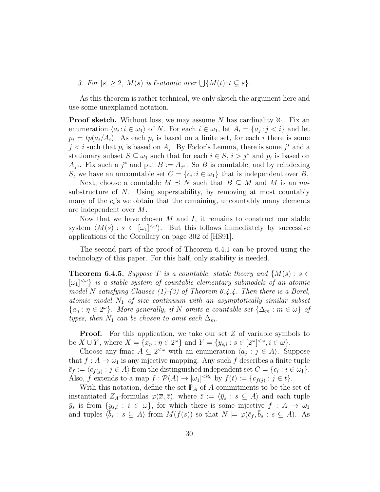3. For  $|s| \geq 2$ ,  $M(s)$  is  $\ell$ -atomic over  $\bigcup \{M(t): t \subsetneq s\}.$ 

As this theorem is rather technical, we only sketch the argument here and use some unexplained notation.

**Proof sketch.** Without loss, we may assume N has cardinality  $\aleph_1$ . Fix an enumeration  $\langle a_i : i \in \omega_1 \rangle$  of N. For each  $i \in \omega_1$ , let  $A_i = \{a_j : j < i\}$  and let  $p_i = tp(a_i/A_i)$ . As each  $p_i$  is based on a finite set, for each i there is some  $j < i$  such that  $p_i$  is based on  $A_j$ . By Fodor's Lemma, there is some  $j^*$  and a stationary subset  $S \subseteq \omega_1$  such that for each  $i \in S$ ,  $i > j^*$  and  $p_i$  is based on  $A_{j^*}$ . Fix such a  $j^*$  and put  $B := A_{j^*}$ . So B is countable, and by reindexing S, we have an uncountable set  $C = \{c_i : i \in \omega_1\}$  that is independent over B.

Next, choose a countable  $M \preceq N$  such that  $B \subseteq M$  and M is an nasubstructure of N. Using superstability, by removing at most countably many of the  $c_i$ 's we obtain that the remaining, uncountably many elements are independent over M.

Now that we have chosen  $M$  and  $I$ , it remains to construct our stable system  $\langle M(s) : s \in [\omega_1]^{<\omega} \rangle$ . But this follows immediately by successive applications of the Corollary on page 302 of [HS91].

The second part of the proof of Theorem 6.4.1 can be proved using the technology of this paper. For this half, only stability is needed.

**Theorem 6.4.5.** Suppose T is a countable, stable theory and  $\{M(s): s \in$  $[\omega_1]^{<\omega}$  is a stable system of countable elementary submodels of an atomic model N satisfying Clauses  $(1)-(3)$  of Theorem 6.4.4. Then there is a Borel, atomic model  $N_1$  of size continuum with an asymptotically similar subset  ${a_n : \eta \in 2^{\omega}}$ . More generally, if N omits a countable set  ${\{\Delta_m : m \in \omega\}}$  of types, then  $N_1$  can be chosen to omit each  $\Delta_m$ .

**Proof.** For this application, we take our set Z of variable symbols to be  $X \cup Y$ , where  $X = \{x_{\eta} : \eta \in 2^{\omega}\}\$  and  $Y = \{y_{s,i} : s \in [2^{\omega}]^{<\omega}, i \in \omega\}.$ 

Choose any fmac  $A \subseteq 2^{\lt \omega}$  with an enumeration  $\langle a_j : j \in A \rangle$ . Suppose that  $f : A \to \omega_1$  is any injective mapping. Any such f describes a finite tuple  $\bar{c}_f := \langle c_{f(j)} : j \in A \rangle$  from the distinguished independent set  $C = \{c_i : i \in \omega_1\}.$ Also, f extends to a map  $f : \mathcal{P}(A) \to [\omega_1]^{<\aleph_0}$  by  $f(t) := \{c_{f(j)} : j \in t\}.$ 

With this notation, define the set  $\mathbb{P}_A$  of A-commitments to be the set of instantiated Z<sub>A</sub>-formulas  $\varphi(\overline{x}, \overline{z})$ , where  $\overline{z} := \langle \overline{y}_s : s \subseteq A \rangle$  and each tuple  $\bar{y}_s$  is from  $\{y_{s,i} : i \in \omega\}$ , for which there is some injective  $f : A \to \omega_1$ and tuples  $\langle \bar{b}_s : s \subseteq A \rangle$  from  $M(f(s))$  so that  $N \models \varphi(\bar{c}_f, \bar{b}_s : s \subseteq A)$ . As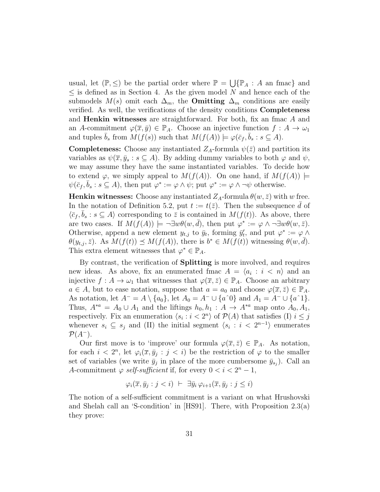usual, let  $(\mathbb{P}, \leq)$  be the partial order where  $\mathbb{P} = \bigcup \{ \mathbb{P}_A : A \text{ an frac} \}$  and  $\leq$  is defined as in Section 4. As the given model N and hence each of the submodels  $M(s)$  omit each  $\Delta_m$ , the **Omitting**  $\Delta_m$  conditions are easily verified. As well, the verifications of the density conditions Completeness and Henkin witnesses are straightforward. For both, fix an fmac A and an A-commitment  $\varphi(\overline{x}, \overline{y}) \in \mathbb{P}_A$ . Choose an injective function  $f : A \to \omega_1$ and tuples  $\bar{b}_s$  from  $\overline{M(f(s))}$  such that  $\overline{M(f(A))} \models \varphi(\bar{c}_f, \bar{b}_s : s \subseteq A)$ .

**Completeness:** Choose any instantiated  $Z_A$ -formula  $\psi(\bar{z})$  and partition its variables as  $\psi(\bar{x}, \bar{y}_s : s \subseteq A)$ . By adding dummy variables to both  $\varphi$  and  $\psi$ , we may assume they have the same instantiated variables. To decide how to extend  $\varphi$ , we simply appeal to  $M(f(A))$ . On one hand, if  $M(f(A)) \models$  $\psi(\bar{c}_f, \bar{b}_s : s \subseteq A)$ , then put  $\varphi^* := \varphi \wedge \psi$ ; put  $\varphi^* := \varphi \wedge \neg \psi$  otherwise.

**Henkin witnesses:** Choose any instantiated  $Z_A$ -formula  $\theta(w, \bar{z})$  with w free. In the notation of Definition 5.2, put  $t := t(\bar{z})$ . Then the subsequence d of  $\langle \bar{c}_f, \bar{b}_s : s \subseteq A \rangle$  corresponding to  $\bar{z}$  is contained in  $M(f(t))$ . As above, there are two cases. If  $M(f(A)) \models \neg \exists w \theta(w, \bar{d})$ , then put  $\varphi^* := \varphi \wedge \neg \exists w \theta(w, \bar{z})$ . Otherwise, append a new element  $y_{t,j}$  to  $\bar{y}_t$ , forming  $\bar{y}'_t$ , and put  $\varphi^* := \varphi \wedge \varphi$  $\theta(y_{t,j},\bar{z})$ . As  $M(f(t)) \preceq M(f(A))$ , there is  $b^* \in M(f(t))$  witnessing  $\theta(w,\bar{d})$ . This extra element witnesses that  $\varphi^* \in \mathbb{P}_A$ .

By contrast, the verification of Splitting is more involved, and requires new ideas. As above, fix an enumerated fmac  $A = \langle a_i : i \langle n \rangle$  and an injective  $f: A \to \omega_1$  that witnesses that  $\varphi(\overline{x}, \overline{z}) \in \mathbb{P}_A$ . Choose an arbitrary  $a \in A$ , but to ease notation, suppose that  $a = a_0$  and choose  $\varphi(\overline{x}, \overline{z}) \in \mathbb{P}_A$ . As notation, let  $A^- = A \setminus \{a_0\}$ , let  $A_0 = A^- \cup \{a^0\}$  and  $A_1 = A^- \cup \{a^0\}$ . Thus,  $A^{*a} = A_0 \cup A_1$  and the liftings  $h_0, h_1 : A \to A^{*a}$  map onto  $A_0, A_1$ , respectively. Fix an enumeration  $\langle s_i : i < 2^n \rangle$  of  $\mathcal{P}(A)$  that satisfies (I)  $i \leq j$ whenever  $s_i \subseteq s_j$  and (II) the initial segment  $\langle s_i : i < 2^{n-1} \rangle$  enumerates  $\mathcal{P}(A^-)$ .

Our first move is to 'improve' our formula  $\varphi(\overline{x}, \overline{z}) \in \mathbb{P}_A$ . As notation, for each  $i < 2^n$ , let  $\varphi_i(\overline{x}, \overline{y}_j : j < i)$  be the restriction of  $\varphi$  to the smaller set of variables (we write  $\bar{y}_j$  in place of the more cumbersome  $\bar{y}_{s_j}$ ). Call an A-commitment  $\varphi$  self-sufficient if, for every  $0 < i < 2<sup>n</sup> - 1$ ,

$$
\varphi_i(\overline{x}, \overline{y}_j : j < i) \ \vdash \ \exists \overline{y}_i \, \varphi_{i+1}(\overline{x}, \overline{y}_j : j \leq i)
$$

The notion of a self-sufficient commitment is a variant on what Hrushovski and Shelah call an 'S-condition' in [HS91]. There, with Proposition 2.3(a) they prove: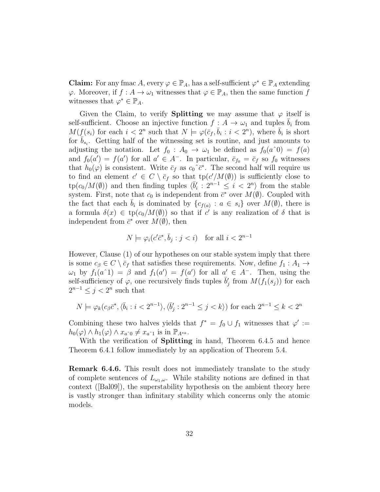**Claim:** For any fmac A, every  $\varphi \in \mathbb{P}_A$ , has a self-sufficient  $\varphi^* \in \mathbb{P}_A$  extending  $\varphi$ . Moreover, if  $f: A \to \omega_1$  witnesses that  $\varphi \in \mathbb{P}_A$ , then the same function f witnesses that  $\varphi^* \in \mathbb{P}_A$ .

Given the Claim, to verify **Splitting** we may assume that  $\varphi$  itself is self-sufficient. Choose an injective function  $f : A \to \omega_1$  and tuples  $\bar{b}_i$  from  $M(f(s_i))$  for each  $i < 2^n$  such that  $N \models \varphi(\bar{c}_f, \bar{b}_i : i < 2^n)$ , where  $\bar{b}_i$  is short for  $\bar{b}_{s_i}$ . Getting half of the witnessing set is routine, and just amounts to adjusting the notation. Let  $f_0: A_0 \to \omega_1$  be defined as  $f_0(a^0) = f(a)$ and  $f_0(a') = f(a')$  for all  $a' \in A^-$ . In particular,  $\bar{c}_{f_0} = \bar{c}_f$  so  $f_0$  witnesses that  $h_0(\varphi)$  is consistent. Write  $\bar{c}_f$  as  $c_0^{\hat{c}^*}$ . The second half will require us to find an element  $c' \in C \setminus \bar{c}_f$  so that  $tp(c'/M(\emptyset))$  is sufficiently close to  $\text{tp}(c_0/M(\emptyset))$  and then finding tuples  $\langle \bar{b}'_i : 2^{n-1} \leq i < 2^n \rangle$  from the stable system. First, note that  $c_0$  is independent from  $\bar{c}^*$  over  $M(\emptyset)$ . Coupled with the fact that each  $\bar{b}_i$  is dominated by  $\{c_{f(a)} : a \in s_i\}$  over  $M(\emptyset)$ , there is a formula  $\delta(x) \in \text{tp}(c_0/M(\emptyset))$  so that if c' is any realization of  $\delta$  that is independent from  $\bar{c}^*$  over  $M(\emptyset)$ , then

$$
N \models \varphi_i(c'\bar{c}^*, \bar{b}_j : j < i) \quad \text{for all } i < 2^{n-1}
$$

However, Clause (1) of our hypotheses on our stable system imply that there is some  $c_{\beta} \in C \setminus \bar{c}_f$  that satisfies these requirements. Now, define  $f_1 : A_1 \to$  $\omega_1$  by  $f_1(a^1) = \beta$  and  $f_1(a') = f(a')$  for all  $a' \in A^-$ . Then, using the self-sufficiency of  $\varphi$ , one recursively finds tuples  $\bar{b}'_j$  from  $M(f_1(s_j))$  for each  $2^{n-1} \leq j < 2^n$  such that

$$
N\models \varphi_k(c_\beta\bar{c}^*,\langle\bar{b}_i:i<2^{n-1}\rangle,\langle\bar{b}'_j:2^{n-1}\leq j
$$

Combining these two halves yields that  $f^* = f_0 \cup f_1$  witnesses that  $\varphi' :=$  $h_0(\varphi) \wedge h_1(\varphi) \wedge x_{a^0} \neq x_{a^0}$  is in  $\mathbb{P}_{A^{*a}}$ .

With the verification of **Splitting** in hand, Theorem 6.4.5 and hence Theorem 6.4.1 follow immediately by an application of Theorem 5.4.

Remark 6.4.6. This result does not immediately translate to the study of complete sentences of  $L_{\omega_1,\omega}$ . While stability notions are defined in that context ([Bal09]), the superstability hypothesis on the ambient theory here is vastly stronger than infinitary stability which concerns only the atomic models.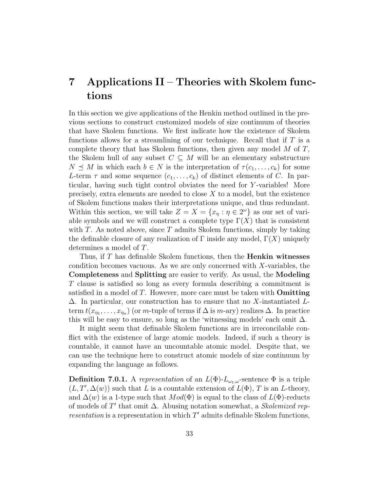## 7 Applications II – Theories with Skolem functions

In this section we give applications of the Henkin method outlined in the previous sections to construct customized models of size continuum of theories that have Skolem functions. We first indicate how the existence of Skolem functions allows for a streamlining of our technique. Recall that if  $T$  is a complete theory that has Skolem functions, then given any model  $M$  of  $T$ , the Skolem hull of any subset  $C \subseteq M$  will be an elementary substructure  $N \preceq M$  in which each  $b \in N$  is the interpretation of  $\tau(c_1, \ldots, c_k)$  for some L-term  $\tau$  and some sequence  $(c_1, \ldots, c_k)$  of distinct elements of C. In particular, having such tight control obviates the need for Y -variables! More precisely, extra elements are needed to close  $X$  to a model, but the existence of Skolem functions makes their interpretations unique, and thus redundant. Within this section, we will take  $Z = X = \{x_{\eta} : \eta \in 2^{\omega}\}\$ as our set of variable symbols and we will construct a complete type  $\Gamma(X)$  that is consistent with  $T$ . As noted above, since  $T$  admits Skolem functions, simply by taking the definable closure of any realization of  $\Gamma$  inside any model,  $\Gamma(X)$  uniquely determines a model of T.

Thus, if  $T$  has definable Skolem functions, then the **Henkin witnesses** condition becomes vacuous. As we are only concerned with  $X$ -variables, the Completeness and Splitting are easier to verify. As usual, the Modeling T clause is satisfied so long as every formula describing a commitment is satisfied in a model of  $T$ . However, more care must be taken with **Omitting**  $\Delta$ . In particular, our construction has to ensure that no X-instantiated Lterm  $t(x_{\eta_1},\ldots,x_{\eta_n})$  (or m-tuple of terms if  $\Delta$  is m-ary) realizes  $\Delta$ . In practice this will be easy to ensure, so long as the 'witnessing models' each omit  $\Delta$ .

It might seem that definable Skolem functions are in irreconcilable conflict with the existence of large atomic models. Indeed, if such a theory is countable, it cannot have an uncountable atomic model. Despite that, we can use the technique here to construct atomic models of size continuum by expanding the language as follows.

**Definition 7.0.1.** A representation of an  $L(\Phi)$ - $L_{\omega_1,\omega}$ -sentence  $\Phi$  is a triple  $(L, T', \Delta(w))$  such that L is a countable extension of  $L(\Phi)$ , T is an L-theory, and  $\Delta(w)$  is a 1-type such that  $Mod(\Phi)$  is equal to the class of  $L(\Phi)$ -reducts of models of  $T'$  that omit  $\Delta$ . Abusing notation somewhat, a *Skolemized rep*resentation is a representation in which  $T'$  admits definable Skolem functions,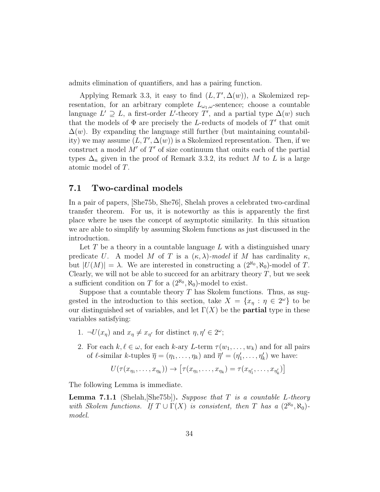admits elimination of quantifiers, and has a pairing function.

Applying Remark 3.3, it easy to find  $(L, T', \Delta(w))$ , a Skolemized representation, for an arbitrary complete  $L_{\omega_1,\omega}$ -sentence; choose a countable language  $L' \supseteq L$ , a first-order L'-theory T', and a partial type  $\Delta(w)$  such that the models of  $\Phi$  are precisely the *L*-reducts of models of  $T'$  that omit  $\Delta(w)$ . By expanding the language still further (but maintaining countability) we may assume  $(L, T', \Delta(w))$  is a Skolemized representation. Then, if we construct a model  $M'$  of  $T'$  of size continuum that omits each of the partial types  $\Delta_n$  given in the proof of Remark 3.3.2, its reduct M to L is a large atomic model of T.

### 7.1 Two-cardinal models

In a pair of papers, [She75b, She76], Shelah proves a celebrated two-cardinal transfer theorem. For us, it is noteworthy as this is apparently the first place where he uses the concept of asymptotic similarity. In this situation we are able to simplify by assuming Skolem functions as just discussed in the introduction.

Let  $T$  be a theory in a countable language  $L$  with a distinguished unary predicate U. A model M of T is a  $(\kappa, \lambda)$ -model if M has cardinality  $\kappa$ , but  $|U(M)| = \lambda$ . We are interested in constructing a  $(2^{\aleph_0}, \aleph_0)$ -model of T. Clearly, we will not be able to succeed for an arbitrary theory  $T$ , but we seek a sufficient condition on T for a  $(2^{\aleph_0}, \aleph_0)$ -model to exist.

Suppose that a countable theory  $T$  has Skolem functions. Thus, as suggested in the introduction to this section, take  $X = \{x_{\eta} : \eta \in 2^{\omega}\}\)$  to be our distinguished set of variables, and let  $\Gamma(X)$  be the **partial** type in these variables satisfying:

- 1.  $\neg U(x_\eta)$  and  $x_\eta \neq x_{\eta'}$  for distinct  $\eta, \eta' \in 2^\omega$ ;
- 2. For each  $k, \ell \in \omega$ , for each k-ary L-term  $\tau(w_1, \ldots, w_k)$  and for all pairs of  $\ell$ -similar k-tuples  $\overline{\eta} = (\eta_1, \ldots, \eta_k)$  and  $\overline{\eta}' = (\eta'_1, \ldots, \eta'_k)$  we have:

$$
U(\tau(x_{\eta_1},\ldots,x_{\eta_k}))\to [\tau(x_{\eta_1},\ldots,x_{\eta_k})=\tau(x_{\eta'_1},\ldots,x_{\eta'_k})]
$$

The following Lemma is immediate.

**Lemma 7.1.1** (Shelah, She75b). Suppose that T is a countable L-theory with Skolem functions. If  $T \cup \Gamma(X)$  is consistent, then T has a  $(2^{\aleph_0}, \aleph_0)$ model.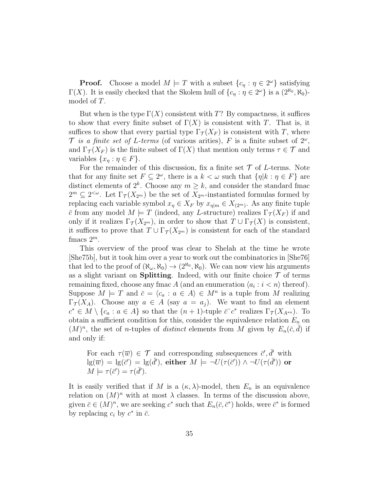**Proof.** Choose a model  $M \models T$  with a subset  $\{c_{\eta} : \eta \in 2^{\omega}\}\)$  satisfying  $\Gamma(X)$ . It is easily checked that the Skolem hull of  $\{c_{\eta} : \eta \in 2^{\omega}\}\)$  is a  $(2^{\aleph_0}, \aleph_0)$ model of T.

But when is the type  $\Gamma(X)$  consistent with T? By compactness, it suffices to show that every finite subset of  $\Gamma(X)$  is consistent with T. That is, it suffices to show that every partial type  $\Gamma_{\mathcal{T}}(X_F)$  is consistent with T, where T is a finite set of L-terms (of various arities), F is a finite subset of  $2^{\omega}$ , and  $\Gamma_{\mathcal{T}}(X_F)$  is the finite subset of  $\Gamma(X)$  that mention only terms  $\tau \in \mathcal{T}$  and variables  $\{x_{\eta} : \eta \in F\}.$ 

For the remainder of this discussion, fix a finite set  $\mathcal T$  of L-terms. Note that for any finite set  $F \subseteq 2^{\omega}$ , there is a  $k < \omega$  such that  $\{\eta | k : \eta \in F\}$  are distinct elements of  $2^k$ . Choose any  $m \geq k$ , and consider the standard fmac  $2^m \subseteq 2^{<\omega}$ . Let  $\Gamma_{\mathcal{T}}(X_{2^m})$  be the set of  $X_{2^m}$ -instantiated formulas formed by replacing each variable symbol  $x_{\eta} \in X_F$  by  $x_{\eta|m} \in X_{(2^m)}$ . As any finite tuple  $\bar{c}$  from any model  $M \models T$  (indeed, any L-structure) realizes  $\Gamma_{\mathcal{T}}(X_F)$  if and only if it realizes  $\Gamma_{\mathcal{T}}(X_{2^m})$ , in order to show that  $T \cup \Gamma_{\mathcal{T}}(X)$  is consistent, it suffices to prove that  $T \cup \Gamma_{\mathcal{T}}(X_{2^m})$  is consistent for each of the standard fmacs  $2^m$ .

This overview of the proof was clear to Shelah at the time he wrote [She75b], but it took him over a year to work out the combinatorics in [She76] that led to the proof of  $(\aleph_{\omega}, \aleph_0) \to (2^{\aleph_0}, \aleph_0)$ . We can now view his arguments as a slight variant on **Splitting**. Indeed, with our finite choice  $\mathcal T$  of terms remaining fixed, choose any fmac A (and an enumeration  $\langle a_i : i < n \rangle$  thereof). Suppose  $M \models T$  and  $\bar{c} = \langle c_a : a \in A \rangle \in M^n$  is a tuple from M realizing  $\Gamma_{\mathcal{T}}(X_A)$ . Choose any  $a \in A$  (say  $a = a_i$ ). We want to find an element  $c^* \in M \setminus \{c_a : a \in A\}$  so that the  $(n+1)$ -tuple  $\bar{c}^c c^*$  realizes  $\Gamma_{\mathcal{T}}(X_{A^{*a}})$ . To obtain a sufficient condition for this, consider the equivalence relation  $E_n$  on  $(M)^n$ , the set of *n*-tuples of *distinct* elements from M given by  $E_n(\bar{c}, \bar{d})$  if and only if:

For each 
$$
\tau(\overline{w}) \in \mathcal{T}
$$
 and corresponding subsequences  $\overline{c}', \overline{d}'$  with  $\lg(\overline{w}) = \lg(\overline{c}') = \lg(\overline{d}')$ , either  $M \models \neg U(\tau(\overline{c}')) \land \neg U(\tau(\overline{d}'))$  or  $M \models \tau(\overline{c}') = \tau(\overline{d}')$ .

It is easily verified that if M is a  $(\kappa, \lambda)$ -model, then  $E_n$  is an equivalence relation on  $(M)^n$  with at most  $\lambda$  classes. In terms of the discussion above, given  $\bar{c} \in (M)^n$ , we are seeking  $c^*$  such that  $E_n(\bar{c}, \bar{c}^*)$  holds, were  $\bar{c}^*$  is formed by replacing  $c_i$  by  $c^*$  in  $\bar{c}$ .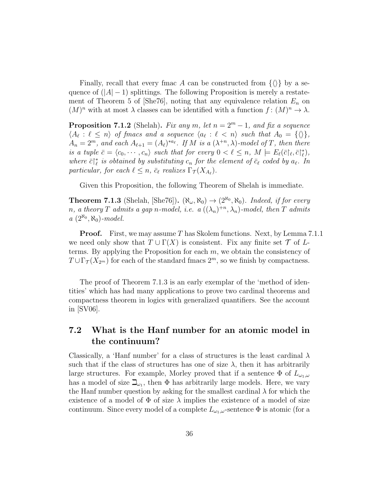Finally, recall that every fmac A can be constructed from  $\{\langle\rangle\}$  by a sequence of  $(|A| - 1)$  splittings. The following Proposition is merely a restatement of Theorem 5 of [She76], noting that any equivalence relation  $E_n$  on  $(M)^n$  with at most  $\lambda$  classes can be identified with a function  $f: (M)^n \to \lambda$ .

**Proposition 7.1.2** (Shelah). Fix any m, let  $n = 2^m - 1$ , and fix a sequence  $\langle A_{\ell} : \ell \leq n \rangle$  of fmacs and a sequence  $\langle a_{\ell} : \ell < n \rangle$  such that  $A_0 = {\langle \langle \rangle \rangle}$ ,  $A_n = 2^m$ , and each  $A_{\ell+1} = (A_{\ell})^{*a_{\ell}}$ . If M is a  $(\lambda^{+n}, \lambda)$ -model of T, then there is a tuple  $\bar{c} = \langle c_0, \cdots, c_n \rangle$  such that for every  $0 < \ell \leq n$ ,  $M \models E_{\ell}(\bar{c} | \ell, \bar{c} | \ell^*),$ where  $\bar{c}\vert_{\ell}^*$  is obtained by substituting  $c_n$  for the element of  $\bar{c}_{\ell}$  coded by  $a_{\ell}$ . In particular, for each  $\ell \leq n$ ,  $\bar{c}_{\ell}$  realizes  $\Gamma_{\mathcal{T}} (X_{A_{\ell}})$ .

Given this Proposition, the following Theorem of Shelah is immediate.

**Theorem 7.1.3** (Shelah, [She76]).  $(\aleph_{\omega}, \aleph_0) \rightarrow (2^{\aleph_0}, \aleph_0)$ . Indeed, if for every n, a theory T admits a gap n-model, i.e.  $a\left(\left(\lambda_n\right)^{+n}, \lambda_n\right)$ -model, then T admits  $a\ (2^{\aleph_0}, \aleph_0)$ -model.

**Proof.** First, we may assume T has Skolem functions. Next, by Lemma 7.1.1 we need only show that  $T \cup \Gamma(X)$  is consistent. Fix any finite set  $\mathcal T$  of Lterms. By applying the Proposition for each  $m$ , we obtain the consistency of  $T \cup \Gamma_{\mathcal{T}}(X_{2^m})$  for each of the standard fmacs  $2^m$ , so we finish by compactness.

The proof of Theorem 7.1.3 is an early exemplar of the 'method of identities' which has had many applications to prove two cardinal theorems and compactness theorem in logics with generalized quantifiers. See the account in [SV06].

### 7.2 What is the Hanf number for an atomic model in the continuum?

Classically, a 'Hanf number' for a class of structures is the least cardinal  $\lambda$ such that if the class of structures has one of size  $\lambda$ , then it has arbitrarily large structures. For example, Morley proved that if a sentence  $\Phi$  of  $L_{\omega_1,\omega}$ has a model of size  $\mathbb{L}_{\omega_1}$ , then  $\Phi$  has arbitrarily large models. Here, we vary the Hanf number question by asking for the smallest cardinal  $\lambda$  for which the existence of a model of  $\Phi$  of size  $\lambda$  implies the existence of a model of size continuum. Since every model of a complete  $L_{\omega_1,\omega}$ -sentence  $\Phi$  is atomic (for a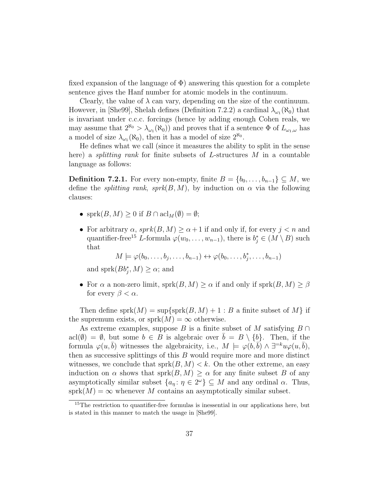fixed expansion of the language of  $\Phi$ ) answering this question for a complete sentence gives the Hanf number for atomic models in the continuum.

Clearly, the value of  $\lambda$  can vary, depending on the size of the continuum. However, in [She99], Shelah defines (Definition 7.2.2) a cardinal  $\lambda_{\omega_1}(\aleph_0)$  that is invariant under c.c.c. forcings (hence by adding enough Cohen reals, we may assume that  $2^{\aleph_0} > \lambda_{\omega_1}(\aleph_0)$  and proves that if a sentence  $\Phi$  of  $L_{\omega_1,\omega}$  has a model of size  $\lambda_{\omega_1}(\aleph_0)$ , then it has a model of size  $2^{\aleph_0}$ .

He defines what we call (since it measures the ability to split in the sense here) a *splitting rank* for finite subsets of L-structures M in a countable language as follows:

**Definition 7.2.1.** For every non-empty, finite  $B = \{b_0, \ldots, b_{n-1}\} \subseteq M$ , we define the *splitting rank*,  $sprk(B, M)$ , by induction on  $\alpha$  via the following clauses:

- sprk $(B, M) \geq 0$  if  $B \cap \operatorname{acl}_M(\emptyset) = \emptyset;$
- For arbitrary  $\alpha$ ,  $sprk(B, M) \ge \alpha + 1$  if and only if, for every  $j < n$  and quantifier-free<sup>15</sup> L-formula  $\varphi(w_0, \ldots, w_{n-1})$ , there is  $b_j^* \in (M \setminus B)$  such that

$$
M \models \varphi(b_0, \ldots, b_j, \ldots, b_{n-1}) \leftrightarrow \varphi(b_0, \ldots, b_j^*, \ldots, b_{n-1})
$$

and sprk $(Bb_j^*, M) \ge \alpha$ ; and

• For  $\alpha$  a non-zero limit, sprk $(B, M) \ge \alpha$  if and only if sprk $(B, M) \ge \beta$ for every  $\beta < \alpha$ .

Then define sprk $(M)$  = sup $\{sprk(B, M) + 1 : B$  a finite subset of M if the supremum exists, or sprk $(M) = \infty$  otherwise.

As extreme examples, suppose B is a finite subset of M satisfying  $B \cap$  $\text{acl}(\emptyset) = \emptyset$ , but some  $b \in B$  is algebraic over  $\overline{b} = B \setminus \{b\}$ . Then, if the formula  $\varphi(u, \bar{b})$  witnesses the algebraicity, i.e.,  $M \models \varphi(b, \bar{b}) \land \exists^{=k}u\varphi(u, \bar{b}),$ then as successive splittings of this  $B$  would require more and more distinct witnesses, we conclude that  $sprk(B, M) < k$ . On the other extreme, an easy induction on  $\alpha$  shows that sprk $(B, M) \geq \alpha$  for any finite subset B of any asymptotically similar subset  $\{a_{\eta} : \eta \in 2^{\omega}\}\subseteq M$  and any ordinal  $\alpha$ . Thus,  $sprk(M) = \infty$  whenever M contains an asymptotically similar subset.

<sup>&</sup>lt;sup>15</sup>The restriction to quantifier-free formulas is inessential in our applications here, but is stated in this manner to match the usage in [She99].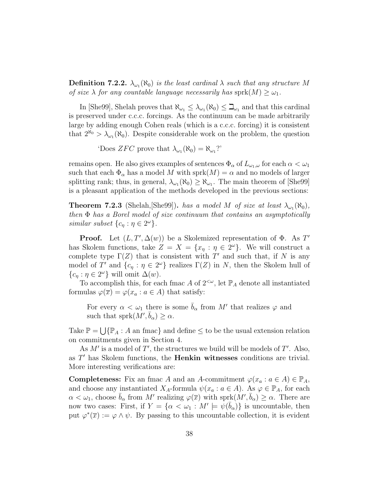**Definition 7.2.2.**  $\lambda_{\omega_1}(\aleph_0)$  is the least cardinal  $\lambda$  such that any structure M of size  $\lambda$  for any countable language necessarily has sprk $(M) \geq \omega_1$ .

In [She99], Shelah proves that  $\aleph_{\omega_1} \leq \lambda_{\omega_1}(\aleph_0) \leq \beth_{\omega_1}$  and that this cardinal is preserved under c.c.c. forcings. As the continuum can be made arbitrarily large by adding enough Cohen reals (which is a c.c.c. forcing) it is consistent that  $2^{\aleph_0} > \lambda_{\omega_1}(\aleph_0)$ . Despite considerable work on the problem, the question

'Does ZFC prove that  $\lambda_{\omega_1}(\aleph_0) = \aleph_{\omega_1}$ ?'

remains open. He also gives examples of sentences  $\Phi_{\alpha}$  of  $L_{\omega_1,\omega}$  for each  $\alpha < \omega_1$ such that each  $\Phi_{\alpha}$  has a model M with sprk $(M) = \alpha$  and no models of larger splitting rank; thus, in general,  $\lambda_{\omega_1}(\aleph_0) \geq \aleph_{\omega_1}$ . The main theorem of [She99] is a pleasant application of the methods developed in the previous sections:

**Theorem 7.2.3** (Shelah, [She99]). has a model M of size at least  $\lambda_{\omega_1}(\aleph_0)$ , then  $\Phi$  has a Borel model of size continuum that contains an asymptotically similar subset  $\{c_{\eta} : \eta \in 2^{\omega}\}.$ 

**Proof.** Let  $(L, T', \Delta(w))$  be a Skolemized representation of  $\Phi$ . As T' has Skolem functions, take  $Z = X = \{x_{\eta} : \eta \in 2^{\omega}\}\.$  We will construct a complete type  $\Gamma(Z)$  that is consistent with T' and such that, if N is any model of T' and  $\{c_\eta : \eta \in 2^\omega\}$  realizes  $\Gamma(Z)$  in N, then the Skolem hull of  ${c_{\eta} : \eta \in 2^{\omega} }$  will omit  $\Delta(w)$ .

To accomplish this, for each fmac A of  $2^{<\omega}$ , let  $\mathbb{P}_A$  denote all instantiated formulas  $\varphi(\overline{x}) = \varphi(x_a : a \in A)$  that satisfy:

For every  $\alpha < \omega_1$  there is some  $\bar{b}_\alpha$  from M' that realizes  $\varphi$  and such that  $sprk(M', \bar{b}_{\alpha}) \geq \alpha$ .

Take  $\mathbb{P} = \bigcup {\mathbb{P}_A : A \text{ an } \text{frac}}$  and define  $\leq$  to be the usual extension relation on commitments given in Section 4.

As  $M'$  is a model of  $T'$ , the structures we build will be models of  $T'$ . Also, as  $T'$  has Skolem functions, the **Henkin witnesses** conditions are trivial. More interesting verifications are:

**Completeness:** Fix an fmac A and an A-commitment  $\varphi(x_a : a \in A) \in \mathbb{P}_A$ , and choose any instantiated  $X_A$ -formula  $\psi(x_a : a \in A)$ . As  $\varphi \in \mathbb{P}_A$ , for each  $\alpha < \omega_1$ , choose  $\bar{b}_{\alpha}$  from M' realizing  $\varphi(\bar{x})$  with sprk $(M', \bar{b}_{\alpha}) \geq \alpha$ . There are now two cases: First, if  $Y = \{ \alpha < \omega_1 : M' \models \psi(\bar{b}_\alpha) \}$  is uncountable, then put  $\varphi^*(\overline{x}) := \varphi \wedge \psi$ . By passing to this uncountable collection, it is evident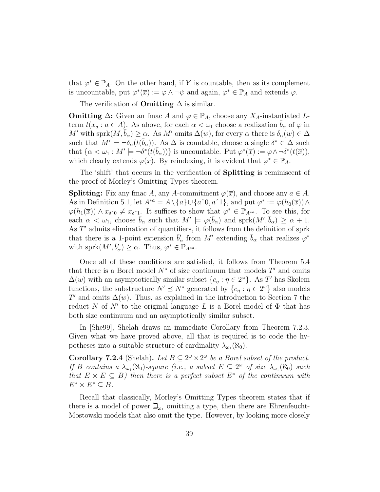that  $\varphi^* \in \mathbb{P}_A$ . On the other hand, if Y is countable, then as its complement is uncountable, put  $\varphi^*(\overline{x}) := \varphi \wedge \neg \psi$  and again,  $\varphi^* \in \mathbb{P}_A$  and extends  $\varphi$ .

The verification of **Omitting**  $\Delta$  is similar.

**Omitting**  $\Delta$ **:** Given an fmac A and  $\varphi \in \mathbb{P}_A$ , choose any  $X_A$ -instantiated Lterm  $t(x_a : a \in A)$ . As above, for each  $\alpha < \omega_1$  choose a realization  $b_\alpha$  of  $\varphi$  in M' with sprk $(M, \bar{b}_{\alpha}) \geq \alpha$ . As M' omits  $\Delta(w)$ , for every  $\alpha$  there is  $\delta_{\alpha}(w) \in \Delta$ such that  $M' \models \neg \delta_{\alpha}(t(\bar{b}_{\alpha}))$ . As  $\Delta$  is countable, choose a single  $\delta^* \in \Delta$  such that  $\{\alpha < \omega_1 : M' \models \neg \delta^*(t(\bar{b}_\alpha))\}$  is uncountable. Put  $\varphi^*(\bar{x}) := \varphi \wedge \neg \delta^*(t(\bar{x})),$ which clearly extends  $\varphi(\overline{x})$ . By reindexing, it is evident that  $\varphi^* \in \mathbb{P}_A$ .

The 'shift' that occurs in the verification of **Splitting** is reminiscent of the proof of Morley's Omitting Types theorem.

**Splitting:** Fix any fmac A, any A-commitment  $\varphi(\overline{x})$ , and choose any  $a \in A$ . As in Definition 5.1, let  $A^{*a} = A \setminus \{a\} \cup \{a^0, a^1\}$ , and put  $\varphi^* := \varphi(h_0(\overline{x})) \wedge$  $\varphi(h_1(\overline{x})) \wedge x_{\delta^0} \neq x_{\delta^0}$ . It suffices to show that  $\varphi^* \in \mathbb{P}_{A^{*a}}$ . To see this, for each  $\alpha < \omega_1$ , choose  $\bar{b}_\alpha$  such that  $M' \models \varphi(\bar{b}_\alpha)$  and sprk $(M', \bar{b}_\alpha) \ge \alpha + 1$ . As  $T'$  admits elimination of quantifiers, it follows from the definition of sprk that there is a 1-point extension  $\bar{b}'_\alpha$  from M' extending  $\bar{b}_\alpha$  that realizes  $\varphi^*$ with sprk $(M', \bar{b}'_{\alpha}) \geq \alpha$ . Thus,  $\varphi^* \in \mathbb{P}_{A^{*a}}$ .

Once all of these conditions are satisfied, it follows from Theorem 5.4 that there is a Borel model  $N^*$  of size continuum that models  $T'$  and omits  $\Delta(w)$  with an asymptotically similar subset  $\{c_{\eta} : \eta \in 2^{\omega}\}\$ . As T' has Skolem functions, the substructure  $N' \preceq N^*$  generated by  $\{c_\eta : \eta \in 2^\omega\}$  also models T' and omits  $\Delta(w)$ . Thus, as explained in the introduction to Section 7 the reduct N of N' to the original language L is a Borel model of  $\Phi$  that has both size continuum and an asymptotically similar subset.

In [She99], Shelah draws an immediate Corollary from Theorem 7.2.3. Given what we have proved above, all that is required is to code the hypotheses into a suitable structure of cardinality  $\lambda_{\omega_1}(\aleph_0)$ .

**Corollary 7.2.4** (Shelah). Let  $B \subseteq 2^{\omega} \times 2^{\omega}$  be a Borel subset of the product. If B contains a  $\lambda_{\omega_1}(\aleph_0)$ -square (i.e., a subset  $E \subseteq 2^{\omega}$  of size  $\lambda_{\omega_1}(\aleph_0)$  such that  $E \times E \subseteq B$ ) then there is a perfect subset  $E^*$  of the continuum with  $E^* \times E^* \subseteq B$ .

Recall that classically, Morley's Omitting Types theorem states that if there is a model of power  $\mathbb{L}_{\omega_1}$  omitting a type, then there are Ehrenfeucht-Mostowski models that also omit the type. However, by looking more closely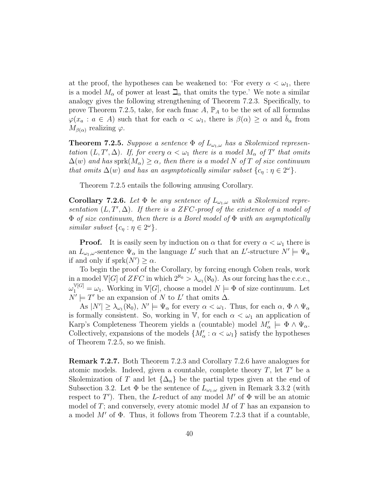at the proof, the hypotheses can be weakened to: 'For every  $\alpha < \omega_1$ , there is a model  $M_{\alpha}$  of power at least  $\beth_{\alpha}$  that omits the type.' We note a similar analogy gives the following strengthening of Theorem 7.2.3. Specifically, to prove Theorem 7.2.5, take, for each fmac  $A$ ,  $\mathbb{P}_A$  to be the set of all formulas  $\varphi(x_a : a \in A)$  such that for each  $\alpha < \omega_1$ , there is  $\beta(\alpha) \geq \alpha$  and  $b_\alpha$  from  $M_{\beta(\alpha)}$  realizing  $\varphi$ .

**Theorem 7.2.5.** Suppose a sentence  $\Phi$  of  $L_{\omega_1,\omega}$  has a Skolemized representation  $(L, T', \Delta)$ . If, for every  $\alpha < \omega_1$  there is a model  $M_\alpha$  of T' that omits  $\Delta(w)$  and has sprk $(M_{\alpha}) \geq \alpha$ , then there is a model N of T of size continuum that omits  $\Delta(w)$  and has an asymptotically similar subset  $\{c_{\eta} : \eta \in 2^{\omega}\}.$ 

Theorem 7.2.5 entails the following amusing Corollary.

**Corollary 7.2.6.** Let  $\Phi$  be any sentence of  $L_{\omega_1,\omega}$  with a Skolemized representation  $(L, T', \Delta)$ . If there is a ZFC-proof of the existence of a model of  $\Phi$  of size continuum, then there is a Borel model of  $\Phi$  with an asymptotically similar subset  $\{c_{\eta} : \eta \in 2^{\omega}\}.$ 

**Proof.** It is easily seen by induction on  $\alpha$  that for every  $\alpha < \omega_1$  there is an  $L_{\omega_1,\omega}$ -sentence  $\Psi_\alpha$  in the language L' such that an L'-structure  $N' \models \Psi_\alpha$ if and only if  $sprk(N') \geq \alpha$ .

To begin the proof of the Corollary, by forcing enough Cohen reals, work in a model  $\mathbb{V}[G]$  of  $ZFC$  in which  $2^{\aleph_0} > \lambda_{\omega_1}(\aleph_0)$ . As our forcing has the c.c.c.,  $\omega_1^{\mathbb{V}[G]} = \omega_1$ . Working in  $\mathbb{V}[G]$ , choose a model  $N \models \Phi$  of size continuum. Let  $N' \models T'$  be an expansion of N to L' that omits  $\Delta$ .

As  $|N'| \geq \lambda_{\omega_1}(\aleph_0), N' \models \Psi_\alpha$  for every  $\alpha < \omega_1$ . Thus, for each  $\alpha, \Phi \wedge \Psi_\alpha$ is formally consistent. So, working in V, for each  $\alpha < \omega_1$  an application of Karp's Completeness Theorem yields a (countable) model  $M'_\alpha \models \Phi \land \Psi_\alpha$ . Collectively, expansions of the models  $\{M'_\alpha : \alpha < \omega_1\}$  satisfy the hypotheses of Theorem 7.2.5, so we finish.

Remark 7.2.7. Both Theorem 7.2.3 and Corollary 7.2.6 have analogues for atomic models. Indeed, given a countable, complete theory  $T$ , let  $T'$  be a Skolemization of T and let  $\{\Delta_n\}$  be the partial types given at the end of Subsection 3.2. Let  $\Phi$  be the sentence of  $L_{\omega_1,\omega}$  given in Remark 3.3.2 (with respect to  $T'$ ). Then, the L-reduct of any model  $M'$  of  $\Phi$  will be an atomic model of  $T$ ; and conversely, every atomic model  $M$  of  $T$  has an expansion to a model  $M'$  of  $\Phi$ . Thus, it follows from Theorem 7.2.3 that if a countable,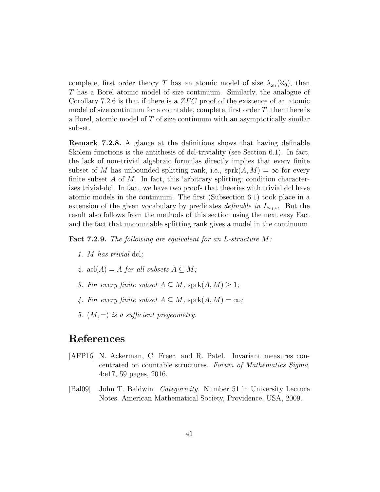complete, first order theory T has an atomic model of size  $\lambda_{\omega_1}(\aleph_0)$ , then T has a Borel atomic model of size continuum. Similarly, the analogue of Corollary 7.2.6 is that if there is a  $ZFC$  proof of the existence of an atomic model of size continuum for a countable, complete, first order  $T$ , then there is a Borel, atomic model of  $T$  of size continuum with an asymptotically similar subset.

Remark 7.2.8. A glance at the definitions shows that having definable Skolem functions is the antithesis of dcl-triviality (see Section 6.1). In fact, the lack of non-trivial algebraic formulas directly implies that every finite subset of M has unbounded splitting rank, i.e.,  $sprk(A, M) = \infty$  for every finite subset  $A$  of  $M$ . In fact, this 'arbitrary splitting; condition characterizes trivial-dcl. In fact, we have two proofs that theories with trivial dcl have atomic models in the continuum. The first (Subsection 6.1) took place in a extension of the given vocabulary by predicates *definable in*  $L_{\omega_1,\omega}$ . But the result also follows from the methods of this section using the next easy Fact and the fact that uncountable splitting rank gives a model in the continuum.

Fact 7.2.9. The following are equivalent for an L-structure M:

- 1. M has trivial dcl;
- 2. acl $(A) = A$  for all subsets  $A \subseteq M$ ;
- 3. For every finite subset  $A \subseteq M$ , sprk $(A, M) \geq 1$ ;
- 4. For every finite subset  $A \subseteq M$ , sprk $(A, M) = \infty$ ;
- 5.  $(M, =)$  is a sufficient pregeometry.

## References

- [AFP16] N. Ackerman, C. Freer, and R. Patel. Invariant measures concentrated on countable structures. Forum of Mathematics Sigma, 4:e17, 59 pages, 2016.
- [Bal09] John T. Baldwin. Categoricity. Number 51 in University Lecture Notes. American Mathematical Society, Providence, USA, 2009.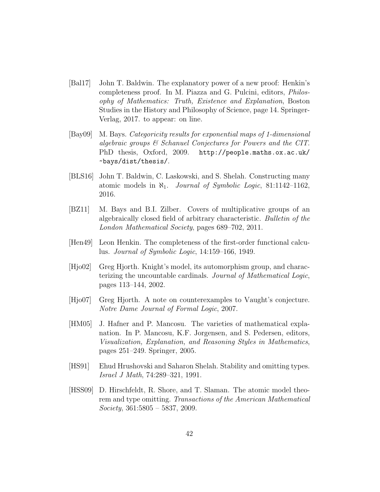- [Bal17] John T. Baldwin. The explanatory power of a new proof: Henkin's completeness proof. In M. Piazza and G. Pulcini, editors, Philosophy of Mathematics: Truth, Existence and Explanation, Boston Studies in the History and Philosophy of Science, page 14. Springer-Verlag, 2017. to appear: on line.
- [Bay09] M. Bays. Categoricity results for exponential maps of 1-dimensional algebraic groups & Schanuel Conjectures for Powers and the CIT. PhD thesis, Oxford, 2009. http://people.maths.ox.ac.uk/ ~bays/dist/thesis/.
- [BLS16] John T. Baldwin, C. Laskowski, and S. Shelah. Constructing many atomic models in  $\aleph_1$ . *Journal of Symbolic Logic*, 81:1142–1162, 2016.
- [BZ11] M. Bays and B.I. Zilber. Covers of multiplicative groups of an algebraically closed field of arbitrary characteristic. Bulletin of the London Mathematical Society, pages 689–702, 2011.
- [Hen49] Leon Henkin. The completeness of the first-order functional calculus. Journal of Symbolic Logic, 14:159–166, 1949.
- [Hjo02] Greg Hjorth. Knight's model, its automorphism group, and characterizing the uncountable cardinals. Journal of Mathematical Logic, pages 113–144, 2002.
- [Hjo07] Greg Hjorth. A note on counterexamples to Vaught's conjecture. Notre Dame Journal of Formal Logic, 2007.
- [HM05] J. Hafner and P. Mancosu. The varieties of mathematical explanation. In P. Mancosu, K.F. Jorgensen, and S. Pedersen, editors, Visualization, Explanation, and Reasoning Styles in Mathematics, pages 251–249. Springer, 2005.
- [HS91] Ehud Hrushovski and Saharon Shelah. Stability and omitting types. Israel J Math, 74:289–321, 1991.
- [HSS09] D. Hirschfeldt, R. Shore, and T. Slaman. The atomic model theorem and type omitting. Transactions of the American Mathematical  $Society, 361:5805 - 5837, 2009.$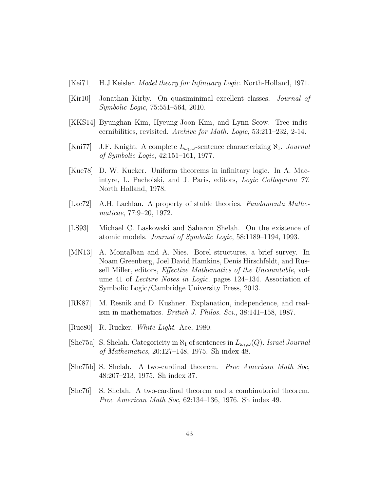- [Kei71] H.J Keisler. *Model theory for Infinitary Logic*. North-Holland, 1971.
- [Kir10] Jonathan Kirby. On quasiminimal excellent classes. Journal of Symbolic Logic, 75:551–564, 2010.
- [KKS14] Byunghan Kim, Hyeung-Joon Kim, and Lynn Scow. Tree indiscernibilities, revisited. Archive for Math. Logic, 53:211–232, 2-14.
- [Kni77] J.F. Knight. A complete  $L_{\omega_1,\omega}$ -sentence characterizing  $\aleph_1$ . Journal of Symbolic Logic, 42:151–161, 1977.
- [Kue78] D. W. Kueker. Uniform theorems in infinitary logic. In A. Macintyre, L. Pacholski, and J. Paris, editors, Logic Colloquium 77. North Holland, 1978.
- [Lac72] A.H. Lachlan. A property of stable theories. Fundamenta Mathematicae, 77:9–20, 1972.
- [LS93] Michael C. Laskowski and Saharon Shelah. On the existence of atomic models. Journal of Symbolic Logic, 58:1189–1194, 1993.
- [MN13] A. Montalban and A. Nies. Borel structures, a brief survey. In Noam Greenberg, Joel David Hamkins, Denis Hirschfeldt, and Russell Miller, editors, Effective Mathematics of the Uncountable, volume 41 of Lecture Notes in Logic, pages 124–134. Association of Symbolic Logic/Cambridge University Press, 2013.
- [RK87] M. Resnik and D. Kushner. Explanation, independence, and realism in mathematics. British J. Philos. Sci., 38:141–158, 1987.
- [Ruc80] R. Rucker. White Light. Ace, 1980.
- [She75a] S. Shelah. Categoricity in  $\aleph_1$  of sentences in  $L_{\omega_1,\omega}(Q)$ . Israel Journal of Mathematics, 20:127–148, 1975. Sh index 48.
- [She75b] S. Shelah. A two-cardinal theorem. Proc American Math Soc, 48:207–213, 1975. Sh index 37.
- [She76] S. Shelah. A two-cardinal theorem and a combinatorial theorem. Proc American Math Soc, 62:134–136, 1976. Sh index 49.